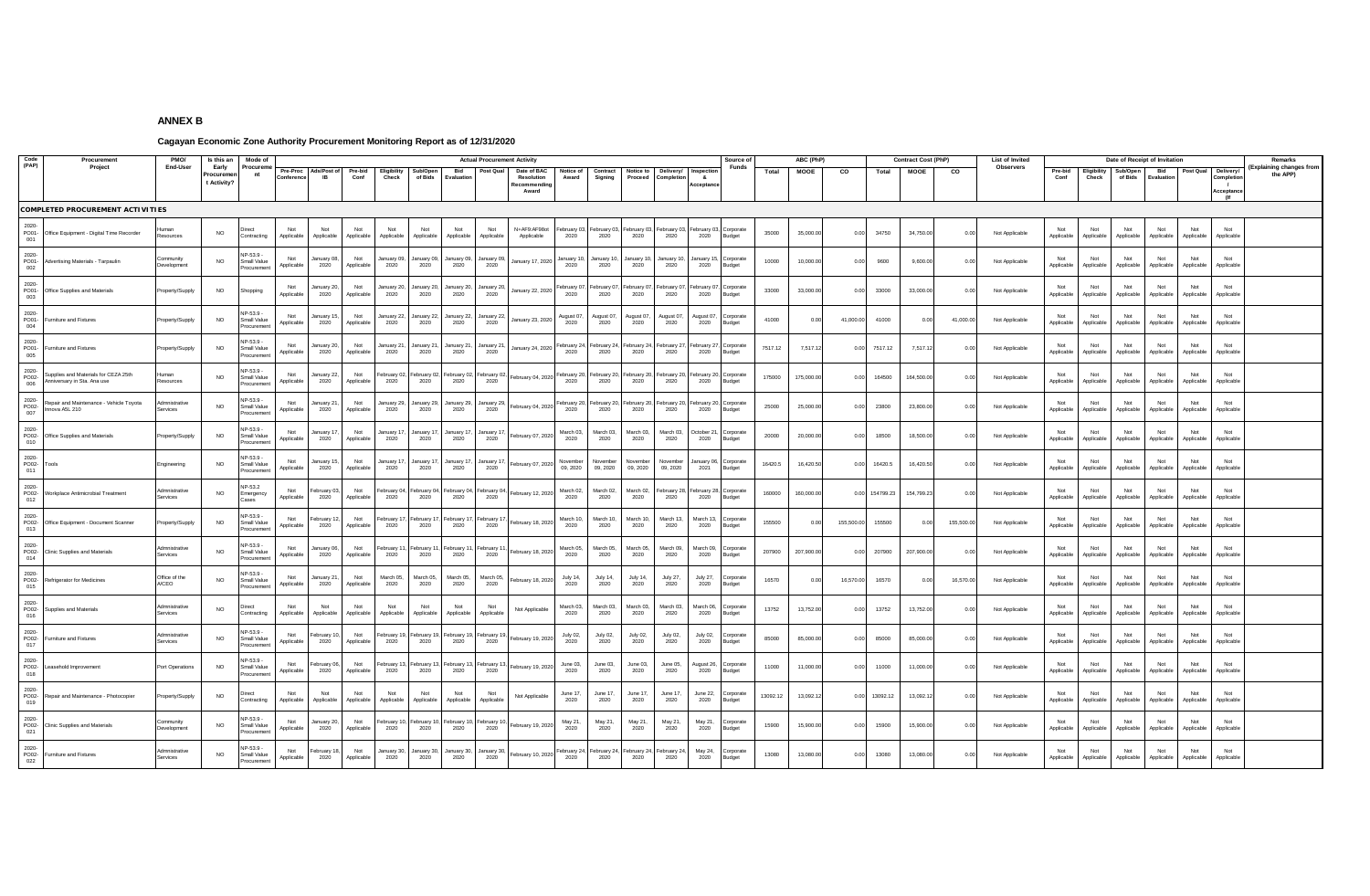## **ANNEX B**

## **Cagayan Economic Zone Authority Procurement Monitoring Report as of 12/31/2020**

| Code                  | Procuremen                                                | PMO/                      | Is this an               | Mode of                                |                   |                     |                          |                     |                     |                     | <b>Actual Procurement Activity</b> |                           |                     |                      |                         |                     |                           | Source o                        |          | ABC (PhP)      |            |                | <b>Contract Cost (PhP)</b> |                            | List of Invited |                   |                    |                   | Date of Receipt of Invitation |                   |                            | Remarks                  |
|-----------------------|-----------------------------------------------------------|---------------------------|--------------------------|----------------------------------------|-------------------|---------------------|--------------------------|---------------------|---------------------|---------------------|------------------------------------|---------------------------|---------------------|----------------------|-------------------------|---------------------|---------------------------|---------------------------------|----------|----------------|------------|----------------|----------------------------|----------------------------|-----------------|-------------------|--------------------|-------------------|-------------------------------|-------------------|----------------------------|--------------------------|
| (PAP)                 | Project                                                   | End-User                  | Early                    | Procurem                               | Pre-Proc          | Ads/Post of         | Pre-bid                  |                     | Sub/Oper            | Bid                 | ost Qua                            | Date of BAC               | Notice of           | Contract             | Notice to               | Delivery/           | nspectio                  | Funds                           | Total    | <b>MOOE</b>    | co         | Total          | MOOE                       | $\overline{c}$             | Observers       | Pre-bid           | <b>Eligibility</b> | Sub/Open          | Bid                           | Post Qual         | Delivery/                  | (Explaining changes from |
|                       |                                                           |                           | Procureme<br>t Activity? | nt                                     | Conferenc         | <b>IB</b>           | Conf                     | Check               | of Bids             | Evaluatio           |                                    | Resolution<br>Recommendir | Award               | Signing              | Proceed                 | Completio           | $\mathbf{a}$<br>cceptance |                                 |          |                |            |                |                            |                            |                 | Conf              | Check              | of Bids           | Evaluation                    |                   | ompletic<br>$\overline{1}$ | the APP)                 |
|                       |                                                           |                           |                          |                                        |                   |                     |                          |                     |                     |                     |                                    | Award                     |                     |                      |                         |                     |                           |                                 |          |                |            |                |                            |                            |                 |                   |                    |                   |                               |                   | <b>Acceptance</b>          |                          |
|                       | <b>COMPLETED PROCUREMENT ACTIVITIES</b>                   |                           |                          |                                        |                   |                     |                          |                     |                     |                     |                                    |                           |                     |                      |                         |                     |                           |                                 |          |                |            |                |                            |                            |                 |                   |                    |                   |                               |                   |                            |                          |
| 2020-<br>PO01-        |                                                           | luman                     |                          |                                        | Not               | Not                 | Not                      | Not                 | Not                 | Not                 | Not                                | N+AF9:AF98ot              | February 0          | ebruary 03           | ebruary 03              | ebruary 0.          | ebruary 03                | Corporate                       |          |                |            |                |                            |                            |                 | Not               | Not                | Not               | Not                           | Not               | Not                        |                          |
| 001                   | Office Equipment - Digital Time Recorder                  | esources                  | <b>NO</b>                | Contracting                            | Applicable        | Applicable          | Applicable               | Applicable          | Applicable          | Applicable          | Applicable                         | Applicable                | 2020                | 2020                 | 2020                    | 2020                | 2020                      | Budget                          | 35000    | 35,000.00      | 0.00       | 34750          | 34 750 00                  | 0 <sup>0<sup>c</sup></sup> | Not Applicable  | Applicable        | Applicable         | Applicable        | Applicable                    | Applicable        | Applicable                 |                          |
| 2020-<br>PO01-        | Advertising Materials - Tarpaulin                         | Community                 | <b>NO</b>                | NP-53.9 -<br>Small Value               | Not               | January 08          | Not                      | January 09          | January 09          | January 09          | lanuary 09                         | January 17, 2020          | lanuary 1           | January 10           | January 1               | January 1           | lanuary 15                | Corporate                       | 10000    | 10,000.00      | 0.00       | 9600           | 9,600.00                   | 0.00                       | Not Applicable  | Not               | Not                | Not               | Not                           | Not               | Not                        |                          |
| 002                   |                                                           | evelopment                |                          | rocuremer                              | Applicable        | 2020                | Applicable               | 2020                | 2020                | 2020                | 2020                               |                           | 2020                | 2020                 | 2020                    | 2020                | 2020                      | Budget                          |          |                |            |                |                            |                            |                 | Applicable        | Applicable         | Applicable        | Applicable                    | Applicable        | Applicable                 |                          |
| 2020-<br>PO01-        | Office Supplies and Materials                             | roperty/Supply            | <b>NO</b>                | Shopping                               | Not<br>Applicable | lanuary 20<br>2020  | Not<br><b>Applicable</b> | anuary 20<br>2020   | lanuary 20<br>2020  | January 20<br>2020  | January 2<br>2020                  | January 22, 2020          | ebruary<br>2020     | ebruary 07<br>2020   | ebruary 0<br>2020       | ebruary 0<br>2020   | ebruary 07<br>2020        | Corporate<br><b>Budget</b>      | 33000    | 33,000.0       | 0.00       | 33000          | 33,000.0                   | 0.00                       | Not Applicable  | Not<br>Applicable | Not<br>Applicable  | Not<br>Applicable | Not<br>Applicable             | Not<br>Applicable | Not<br>Applicable          |                          |
| 003<br>2020-          |                                                           |                           |                          | NP-53 9                                |                   |                     |                          |                     |                     |                     |                                    |                           |                     |                      |                         |                     |                           |                                 |          |                |            |                |                            |                            |                 |                   |                    |                   |                               |                   |                            |                          |
| PO01-<br>004          | Furniture and Fixtures                                    | Property/Supply           | <b>NO</b>                | Small Value<br>rocuremen               | Not<br>Applicable | January 1<br>2020   | Not<br>Applicable        | January 22<br>2020  | anuary 22<br>2020   | January 22<br>2020  | January 22<br>2020                 | January 23, 2020          | August 07,<br>2020  | August 07,<br>2020   | August 07,<br>2020      | August 07,<br>2020  | August 07<br>2020         | Corporate<br>Budget             | 41000    | 0 <sup>0</sup> | 41,000.00  | 41000          | 0.00                       | 41,000.00                  | Not Applicable  | Not<br>Applicable | Not<br>Applicable  | Not<br>Applicable | Not<br>Applicable             | Not<br>Applicable | Not<br>Applicable          |                          |
| 2020-<br>PO01-        |                                                           |                           |                          | NP-53.9                                | Not               | lanuary 20          | Not                      | January 21          | lanuary 21          | lanuary 21          | lanuary 21                         |                           | ebruary 2           | February 24          | February 24             | ebruary 2           | ebruary 27                | Corporate                       |          |                |            |                |                            |                            |                 | Not               | Not                | Not               | Not                           | Not               | Not                        |                          |
| 005                   | Furniture and Fixtures                                    | roperty/Supply            | <b>NO</b>                | Small Value<br>ocureme                 | Applicable        | 2020                | Applicable               | 2020                | 2020                | 2020                | 2020                               | January 24, 2020          | 2020                | 2020                 | 2020                    | 2020                | 2020                      | Budget                          | 7517.12  | 7,517.1        | 0.00       | 7517.12        | 75171                      | 0 <sup>0<sup>c</sup></sup> | Not Applicable  | Applicable        | Applicable         | Applicable        | Applicable                    | Applicable        | Applicable                 |                          |
| 2020-<br>PO02-        | Supplies and Materials for CEZA 25th                      | luman                     | <b>NO</b>                | NP-53.9 -<br>Small Value               | Not               | January 22,         | Not                      | ebruary 02          | February 02         | ebruary 02,         | ebruary 0                          | February 04, 2020         | February 20         | February 20,         | February 20             | February 20         | ebruary 20,               | Corporate                       | 175000   | 175,000.00     | 0.00       | 164500         | 164,500.00                 | 0.00                       | Not Applicable  | Not               | Not                | Not               | Not                           | Not               | Not                        |                          |
| 006                   | Anniversary in Sta. Ana use                               | tesources                 |                          | rocuremer                              | Applicable        | 2020                | Applicable               | 2020                | 2020                | 2020                | 2020                               |                           | 2020                | 2020                 | 2020                    | 2020                | 2020                      | Budget                          |          |                |            |                |                            |                            |                 | Applicable        | Applicable         | Applicable        | Applicable                    | Applicable        | Applicable                 |                          |
| 2020-<br>PO02-        | Repair and Maintenance - Vehicle Toyota<br>Innova A5L 210 | Admnistrative<br>services | <b>NO</b>                | NP-53.9 -<br>Small Value               | Applicable        | January 2<br>2020   | Not<br>Applicable        | January 29<br>2020  | lanuary 29<br>2020  | January 29<br>2020  | January 29<br>2020                 | February 04, 2020         | Februarv 2<br>2020  | ebruary 20<br>2020   | February 20<br>2020     | February 20<br>2020 | 2020                      | ebruary 20. Corporate<br>Budget | 25000    | 25,000.0       | 0.00       | 23800          | 23,800.00                  | 0.00                       | Not Applicable  | Not<br>Applicable | Not<br>Applicable  | Not<br>Applicable | Not<br>Applicable             | Not<br>Applicable | Not<br>Applicable          |                          |
| 007                   |                                                           |                           |                          | rocureme                               |                   |                     |                          |                     |                     |                     |                                    |                           |                     |                      |                         |                     |                           |                                 |          |                |            |                |                            |                            |                 |                   |                    |                   |                               |                   |                            |                          |
| 2020-<br>PO02-<br>010 | Office Supplies and Materials                             | Property/Supply           | <b>NO</b>                | NP-53.9 -<br>Small Value<br>Procuremen | Not<br>Applicable | January 1<br>2020   | Not<br>Applicable        | January 17<br>2020  | lanuary 1<br>2020   | January 11<br>2020  | January 1<br>2020                  | ebruary 07, 2020          | March 03.<br>2020   | March 03,<br>2020    | March 03<br>2020        | March 03.<br>2020   | October 21<br>2020        | Corporate<br>Budget             | 20000    | 20,000.00      | 0.00       | 18500          | 18,500.00                  | 0.00                       | Not Applicable  | Not<br>Applicable | Not<br>Applicable  | Not<br>Applicable | Not<br>Applicable             | Not<br>Applicable | Not<br>Applicable          |                          |
| 2020-                 |                                                           |                           |                          | NP-53.9                                | Not               | January 1:          | Not                      | lanuary 17          | January 11          | January 1           | January 1                          |                           | Novembe             | November             | November                | November            | anuary 06                 |                                 |          |                |            |                |                            |                            |                 | Not               | Not                | Not               | Not                           | Not               | Not                        |                          |
| PO02-<br>011          | Tools                                                     | Engineering               | <b>NO</b>                | Small Value<br>rocureme                | Applicable        | 2020                | Applicable               | 2020                | 2020                | 2020                | 2020                               | February 07, 2020         | 09.2020             | 09, 2020             | 09.2020                 | 09.2020             | 2021                      | Corporate<br>Budget             | 16420.5  | 16,420.50      | 0.00       | 16420.5        | 16,420.50                  | 0.00                       | Not Applicable  | Applicable        | Applicable         | Applicable        | Applicable                    | Applicable        | Applicable                 |                          |
| 2020-<br>PO02-        | Vorkplace Antimicrobial Treatment                         | Admnistrative             | <b>NO</b>                | NP-53.2<br>Emergency                   | Not               | ebruary 0           | Not                      | ebruary (M          | February 0          | ebruary 04          | ebruary 0                          | February 12, 2020         | March 02.           | March 02             | March 02.               | February 28         | February 28               | Corporate                       | 160000   | 160,000.00     |            | 0.00 154799.23 | 154,799.23                 | 0.00                       | Not Applicable  | Not               | Not                | Not               | Not                           | Not               | Not                        |                          |
| 012                   |                                                           | anvines                   |                          | ases                                   | Annlicable        | 2020                | Annlicable               | 2020                | 2020                | 2020                | 2020                               |                           | 2020                | 2020                 | 2020                    | 2020                | 2020                      | <b>Budget</b>                   |          |                |            |                |                            |                            |                 | Applicable        | Applicable         | Annlicable        | Applicable                    | Applicable        | Applicable                 |                          |
| 2020-<br>PO02-        | Office Equipment - Document Scanne                        | roperty/Supply            | <b>NO</b>                | NP-53.9<br>Small Value                 | Not<br>Applicable | February 1<br>2020  | Not<br>Applicable        | ebruary 17<br>2020  | February 1<br>2020  | February 11<br>2020 | February 1<br>2020                 | February 18, 2020         | March 10<br>2020    | March 10.<br>2020    | March 10<br>2020        | March 13<br>2020    | March 13.<br>2020         | Corporate<br>Budget             | 155500   | 00             | 155,500.00 | 155500         | 0.01                       | 155,500.00                 | Not Applicable  | Not<br>Applicable | Not<br>Applicable  | Not<br>Applicable | Not<br>Applicable             | Not<br>Applicable | Not<br>Applicable          |                          |
| 013                   |                                                           |                           |                          | rocuremer                              |                   |                     |                          |                     |                     |                     |                                    |                           |                     |                      |                         |                     |                           |                                 |          |                |            |                |                            |                            |                 |                   |                    |                   |                               |                   |                            |                          |
| 2020-<br>PO02-<br>014 | Clinic Supplies and Materials                             | Admnistrative<br>Services | <b>NO</b>                | NP-53.9 -<br>Small Value<br>Procuremen | Not<br>Applicable | lanuarv Of<br>2020  | Not<br>Applicable        | ebruary 1<br>2020   | February 1<br>2020  | ebruary 1<br>2020   | ebruary 1<br>2020                  | ebruary 18, 2020          | March 05<br>2020    | March 05<br>2020     | March 05<br>2020        | March 09<br>2020    | March 09<br>2020          | orporate<br>Budget              | 207900   | 207,900.00     | 0.00       | 207900         | 207,900.00                 | 0.00                       | Not Applicable  | Not<br>Applicable | Not<br>Applicable  | Not<br>Applicable | Not<br>Applicable             | Not<br>Applicable | Not<br>Applicable          |                          |
| 2020-                 |                                                           | Office of the             |                          | NP-53.9                                | Not               | January 2           | Not                      | March 05.           | March 05            | March 05            | March 05                           |                           |                     |                      |                         |                     | July 27.                  |                                 |          |                |            |                |                            |                            |                 | Not               | Not                | Not               | Not                           | Not               | Not                        |                          |
| PO02-<br>015          | Refrigerator for Medicines                                | A/CEO                     | N <sub>O</sub>           | Small Value<br>Procuremen              | Applicable        | 2020                | Applicable               | 2020                | 2020                | 2020                | 2020                               | ebruary 18, 2020          | July 14,<br>2020    | July 14,<br>2020     | <b>July 14,</b><br>2020 | July 27,<br>2020    | 2020                      | corporate<br>Budget             | 16570    |                | 16,570.00  | 16570          | 0.00                       | 16,570.00                  | Not Applicable  | Applicable        | Applicable         | Applicable        | Applicable                    | Applicable        | Applicable                 |                          |
| 2020-<br>PO02-        | Supplies and Materials                                    | Admnistrative             | <b>NO</b>                | Direct                                 | Not               | Not                 | Not                      | Not                 | Not                 | Not                 | Not                                | Not Applicable            | March 03,           | March 03.            | March 03.               | March 03.           | March 06                  | orporate                        | 13752    | 13,752.00      | 0.00       | 13752          | 13,752.00                  | 0.00                       | Not Applicable  | Not               | Not                | Not               | Not                           | Not               | Not                        |                          |
| 016                   |                                                           | Services                  |                          | Contracting                            | Applicable        | Applicable          | Applicable               | Applicable          | Applicable          | Applicable          | Applicable                         |                           | 2020                | 2020                 | 2020                    | 2020                | 2020                      | Budget                          |          |                |            |                |                            |                            |                 | Applicable        | Applicable         | Applicable        | Applicable                    | Applicable        | Applicable                 |                          |
| 2020-<br>PO02-        | Furniture and Fixtures                                    | Admnistrative<br>Services | <b>NO</b>                | NP-53.9 -<br>Small Value               | Not<br>Applicable | ebruary 1<br>2020   | Not<br>Applicable        | ebruary 19<br>2020  | February 1<br>2020  | ebruary 1<br>2020   | ebruary 1<br>2020                  | February 19, 2020         | July 02,<br>2020    | July 02,<br>2020     | July 02,<br>2020        | July 02,<br>2020    | July 02,<br>2020          | orporate<br>Budget              | 85000    | 85,000.00      | 0.00       | 85000          | 85,000.00                  | 0.00                       | Not Applicable  | Not<br>Applicable | Not<br>Applicable  | Not<br>Applicable | Not<br>Applicable             | Not<br>Applicable | Not<br>Applicable          |                          |
| 017                   |                                                           |                           |                          | Procuremen                             |                   |                     |                          |                     |                     |                     |                                    |                           |                     |                      |                         |                     |                           |                                 |          |                |            |                |                            |                            |                 |                   |                    |                   |                               |                   |                            |                          |
| 2020-<br>PO02-<br>018 | Leasehold Improvement                                     | Port Operations           | <b>NO</b>                | NP-53.9 -<br>Small Value<br>Procuremen | Not<br>Applicable | ebruary 06<br>2020  | Not<br>Applicable        | ebruary 1<br>2020   | ebruary *<br>2020   | bruary 1<br>2020    | ebruary 1<br>2020                  | ebruary 19, 2020          | June 03,<br>2020    | June 03,<br>2020     | June 03,<br>2020        | June 05,<br>2020    | lugust 26,<br>2020        | Corporate<br>Budget             | 11000    | 11,000.00      | 0.00       | 11000          | 11,000.00                  | 0.00                       | Not Applicable  | Not<br>Applicable | Not<br>Applicable  | Not<br>Applicable | Not<br>Applicable             | Not<br>Applicable | Not<br>Applicable          |                          |
| 2020-                 |                                                           |                           |                          |                                        | Not               |                     |                          | Not                 | Not                 | Not                 |                                    |                           |                     |                      |                         |                     |                           |                                 |          |                |            |                |                            |                            |                 | Not               | Not                | Not               | Not                           | Not               |                            |                          |
| PO02-<br>019          | Repair and Maintenance - Photocopie                       | roperty/Supply            | <b>NO</b>                | Contracting                            | Applicable        | Not<br>Applicable   | Not<br>Applicable        | Applicable          | Applicable          | Applicable          | Not<br>Applicable                  | Not Applicable            | June 17,<br>2020    | June 17,<br>2020     | June 17,<br>2020        | June 17,<br>2020    | June 22,<br>2020          | orporate<br>Budget              | 13092.12 | 13,092.1       | 0.00       | 13092.12       | 13,092.12                  | 0.00                       | Not Applicable  | Applicable        | Applicable         | Applicable        | Applicable                    | Applicable        | Not<br>Applicable          |                          |
| 2020-<br>PO02-        | <b>Clinic Supplies and Materials</b>                      | ommunity                  | <b>NO</b>                | NP-53.9 -<br>Small Value               | Not               | lanuary 20          | Not                      | February 1          | February 1          | ebruary 1           | ebruary 1                          | February 19, 2020         | May 21,             | May 21,              | May 21,                 | May 21,             | May 21,                   | Corporate                       | 15900    | 15,900.00      | 0.00       | 15900          | 15,900.00                  | 0.00                       | Not Applicable  | Not               | Not                | Not               | Not                           | Not               | Not                        |                          |
| 021                   |                                                           | evelopment                |                          | Procuremen                             | Applicable        | 2020                | Applicable               | 2020                | 2020                | 2020                | 2020                               |                           | 2020                | 2020                 | 2020                    | 2020                | 2020                      | Budget                          |          |                |            |                |                            |                            |                 | Applicable        | Applicable         | Applicable        | Applicable                    | Applicable        | Applicable                 |                          |
| 2020-<br>PO02-        | Furniture and Fixtures                                    | dmnistrative<br>Services  | $NO$                     | NP-53.9 -<br>Small Value               | Not<br>Applicable | February 18<br>2020 | Not<br>Applicable        | January 30,<br>2020 | lanuary 30,<br>2020 | January 30,<br>2020 | lanuary 30,<br>2020                | February 10, 2020         | February 24<br>2020 | February 24,<br>2020 | February 24<br>2020     | ebruary 24<br>2020  | May 24,<br>2020           | Corporate<br>Budget             | 13080    | 13,080.00      | 0.00       | 13080          | 13,080.00                  | 0.00                       | Not Applicable  | Not<br>Applicable | Not<br>Applicable  | Not<br>Applicable | Not<br>Applicable             | Not<br>Applicable | Not<br>Applicable          |                          |
| 022                   |                                                           |                           |                          | Procurement                            |                   |                     |                          |                     |                     |                     |                                    |                           |                     |                      |                         |                     |                           |                                 |          |                |            |                |                            |                            |                 |                   |                    |                   |                               |                   |                            |                          |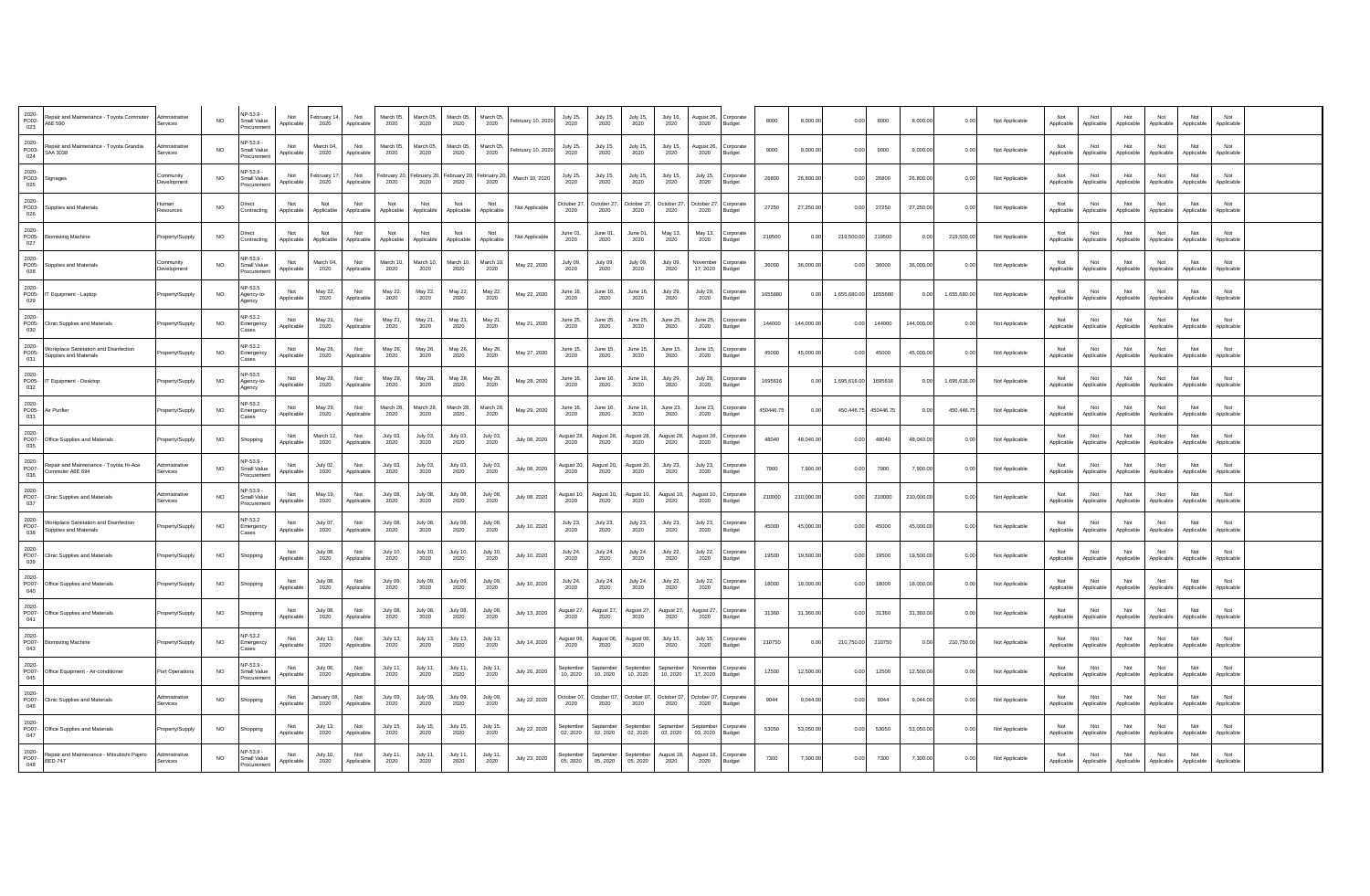| 2020-<br>PO02-<br>023 | Repair and Maintenance - Toyota Commuter<br>A6E 590                                                                                                                              | Admnistrative<br>Services | <b>NO</b> | NP-53.9 -<br>Small Value<br>rocuremer   | Not<br>Applicable | February 14<br>2020     | Not<br>Applicable | March 05<br>2020    | March 05<br>2020        | March 05.<br>2020  | March 05<br>2020    | ebruary 10, 2020 | July 15,<br>2020            | July 15,<br>2020      | July 15,<br>2020      | July 16<br>2020             | August 26.<br>2020      | orporate<br><b>Budget</b>  | 8000      | 8,000.00   | 0.00         | 8000      | 8,000.00   | 0.00         | Not Applicable | Not<br>Applicable | Not<br>Applicable | Not<br>Applicable | Not<br>Applicable | Not<br>Applicable | Not<br>Applicable |  |
|-----------------------|----------------------------------------------------------------------------------------------------------------------------------------------------------------------------------|---------------------------|-----------|-----------------------------------------|-------------------|-------------------------|-------------------|---------------------|-------------------------|--------------------|---------------------|------------------|-----------------------------|-----------------------|-----------------------|-----------------------------|-------------------------|----------------------------|-----------|------------|--------------|-----------|------------|--------------|----------------|-------------------|-------------------|-------------------|-------------------|-------------------|-------------------|--|
| 2020-<br>PO03-<br>024 | Repair and Maintenance - Toyota Grandia<br>SAA 3038                                                                                                                              | Admnistrative<br>Services | <b>NO</b> | NP-53.9<br>Small Value<br>rocuremer     | Not<br>Applicable | March 04<br>2020        | Not<br>Applicable | March 05<br>2020    | March 05<br>2020        | March 05<br>2020   | March 05<br>2020    | ebruary 10, 2020 | July 15,<br>2020            | July 15,<br>2020      | July 15,<br>2020      | July 15<br>2020             | August 26<br>2020       | orporate<br>Budget         | 9000      | 9,000.00   | 0.00         | 9000      | 9,000.00   | 0.00         | Not Applicable | Not<br>Applicable | Not<br>Applicable | Not<br>Applicable | Not<br>Applicable | Not<br>Applicable | Not<br>Applicable |  |
| 2020-<br>025          | PO03- Signages                                                                                                                                                                   | Community<br>Development  | NO.       | P-53.9<br>Small Valu<br>rocuremer       | Not<br>Applicable | February 11<br>2020     | Not<br>Applicable | February 20<br>2020 | ehruary 20<br>2020      | ebruary 20<br>2020 | February 20<br>2020 | March 10, 2020   | July 15<br>2020             | July 15.<br>2020      | July 15,<br>2020      | $.10N$ 15<br>2020           | $.10N$ 15<br>2020       | ornorate<br>Budget         | 26800     | 26,800.00  | 0.00         | 26800     | 26,800.00  | 0.00         | Not Applicable | Not<br>Applicable | Not<br>Applicable | Not<br>Applicable | Not<br>Applicable | Not<br>Applicable | Not<br>Applicable |  |
| 2020-<br>026          | PO03- Supplies and Materials                                                                                                                                                     | Human<br>Resources        | <b>NO</b> | <b>Direct</b><br>Contracting            | Not<br>Applicable | Not<br>Applicable       | Not<br>Applicable | Not<br>Applicable   | Not<br>Applicable       | Not<br>Applicable  | Not<br>Applicable   | Not Applicable   | October 27<br>2020          | October 27<br>2020    | October 27<br>2020    | October 27<br>2020          | October 27<br>2020      | Corporate<br><b>Budget</b> | 27250     | 27,250.00  | 0.00         | 27250     | 27,250.00  | 0.00         | Not Applicable | Not<br>Applicable | Not<br>Applicable | Not<br>Applicable | Not<br>Applicable | Not<br>Applicable | Not<br>Applicable |  |
| 2020-<br>027          | PO05- Biomisting Machine                                                                                                                                                         | Property/Supply           | <b>NO</b> | Direct<br>Contracting                   | Not<br>Applicable | Not<br>Applicable       | Not<br>Applicable | Not<br>Applicable   | Not<br>Applicable       | Not<br>Applicable  | Not<br>Applicable   | Not Applicable   | June 01<br>2020             | June 01.<br>2020      | June 01,<br>2020      | May 13.<br>2020             | May 13.<br>2020         | orporate<br>Budget         | 219500    | 0.00       | 219,500.00   | 219500    | 0.00       | 219,500.00   | Not Applicable | Not<br>Applicable | Not<br>Applicable | Not<br>Applicable | Not<br>Applicable | Not<br>Applicable | Not<br>Applicable |  |
| 2020-<br>028          | PO05- Supplies and Materials                                                                                                                                                     | Community<br>Development  | NO.       | NP-53.9<br>Small Value                  | Not<br>Applicable | March 04<br>2020        | Not<br>Applicable | March 10<br>2020    | March 10<br>2020        | March 10<br>2020   | March 10<br>2020    | May 22, 2020     | July 09.<br>2020            | July 09,<br>2020      | July 09,<br>2020      | July 09.<br>2020            | November<br>17, 2020    | orporate<br><b>Budget</b>  | 36000     | 36,000.00  | 0.00         | 36000     | 36,000.00  | 0.00         | Not Applicable | Not<br>Applicable | Not<br>Applicable | Not<br>Applicable | Not<br>Applicable | Not<br>Applicable | Not<br>Applicable |  |
| 2020-<br>029          | PO05- IT Equipment - Laptop                                                                                                                                                      | Property/Supply           | NO.       | P-53.5<br>Agency-to-<br>Agency          | Applicable        | May 22,<br>2020         | Not<br>Applicable | May 22,<br>2020     | May 22,<br>2020         | May 22,<br>2020    | May 22,<br>2020     | May 22, 2020     | June 16,<br>2020            | June 16,<br>2020      | June 16,<br>2020      | July 29,<br>2020            | July 29,<br>2020        | orporate<br>Budget         | 1655680   | 0.00       | 1,655,680.00 | 1655680   | 0.00       | 1,655,680.00 | Not Applicable | Not<br>Applicable | Not<br>Applicable | Not<br>Applicable | Not<br>Applicable | Not<br>Applicable | Not<br>Applicable |  |
| 2020-<br>PO05-<br>030 | <b>Clinic Supplies and Materials</b>                                                                                                                                             | roperty/Supply            | <b>NO</b> | NP-53.2<br>Emergency<br>ases            | Not<br>Applicable | May 21.<br>2020         | Not<br>Applicable | May 21,<br>2020     | May 21,<br>2020         | May 21,<br>2020    | May 21,<br>2020     | May 21, 2020     | June 25.<br>2020            | June 25,<br>2020      | June 25,<br>2020      | June 25<br>2020             | June 25<br>2020         | orporate<br>Budget         | 144000    | 144,000.00 | 0.00         | 144000    | 144,000.00 | 0.00         | Not Applicable | Not<br>Applicable | Not<br>Applicable | Not<br>Applicable | Not<br>Applicable | Not<br>Applicable | Not<br>Applicable |  |
| 2020-<br>PO05-<br>031 | Workplace Saniitation and Disinfection<br>Supplies and Materials                                                                                                                 | roperty/Supply            | <b>NO</b> | NP-53.2<br>Emergency<br>ases            | Not<br>Applicable | May 26,<br>2020         | Not<br>Applicable | May 26,<br>2020     | May 26,<br>2020         | May 26.<br>2020    | May 26,<br>2020     | May 27, 2020     | June 15.<br>2020            | June 15.<br>2020      | June 15,<br>2020      | June 15<br>2020             | June 15.<br>2020        | orporate<br><b>Budget</b>  | 45000     | 45,000.00  | 0.00         | 45000     | 45,000.00  | 0.00         | Not Applicable | Not<br>Applicable | Not<br>Applicable | Not<br>Applicable | Not<br>Applicable | Not<br>Applicable | Not<br>Applicable |  |
| 2020-<br>032          | PO05- IT Equipment - Desktop                                                                                                                                                     | Property/Supply           | <b>NO</b> | NP-53.5<br>Agency-to-<br>Agency         | Not<br>Applicable | May 28.<br>2020         | Not<br>Applicable | May 28<br>2020      | May 28.<br>2020         | May 28.<br>2020    | May 28.<br>2020     | May 28, 2020     | June 16<br>2020             | June 16.<br>2020      | June 16.<br>2020      | July 29.<br>2020            | July 29,<br>2020        | orporate<br><b>Budget</b>  | 1695616   | 0.0        | 1,695,616.00 | 1695616   | 0.00       | 1,695,616.00 | Not Applicable | Not<br>Applicable | Not<br>Applicable | Not<br>Applicable | Not<br>Applicable | Not<br>Applicable | Not<br>Applicable |  |
| 2020-<br>033          | PO05- Air Purifier                                                                                                                                                               | Property/Supply           | NO.       | <b>JP-53.2</b><br>Emergency             | Not<br>Applicable | May 29,<br>2020         | Not<br>Applicable | March 28<br>2020    | March 28<br>2020        | March 28.<br>2020  | March 28.<br>2020   | May 29, 2020     | June 16,<br>2020            | June 16,<br>2020      | June 16,<br>2020      | June 23.<br>2020            | June 23.<br>2020        | orporate<br>Budget         | 450446.75 | 0.00       | 450,446.7    | 450446.75 | 0.00       | 450.446.75   | Not Applicable | Not<br>Applicable | Not<br>Applicable | Not<br>Applicable | Not<br>Applicable | Not<br>Applicable | Not<br>Applicable |  |
| 2020-<br>035          | PO07- Office Supplies and Materials                                                                                                                                              | Property/Supply           | <b>NO</b> | Shopping                                | Not<br>Applicable | March 12<br>2020        | Not<br>Applicable | July 03,<br>2020    | July 03.<br>2020        | July 03.<br>2020   | July 03.<br>2020    | July 08, 2020    | August 28,<br>2020          | August 28,<br>2020    | August 28,<br>2020    | August 28,<br>2020          | August 28<br>2020       | orporate<br>udget          | 48040     | 48,040.00  | 0.00         | 48040     | 48,040.00  | 0.00         | Not Applicable | Not<br>Applicable | Not<br>Applicable | Not<br>Applicable | Not<br>Applicable | Not<br>Applicable | Not<br>Applicable |  |
| 2020-<br>PO07-<br>036 | Repair and Maintenance - Toyota Hi-Ace<br>Commuter A6F 694                                                                                                                       | dmnistrative<br>Services  | <b>NO</b> | NP-53.9 -<br>Small Value<br>rocuremer   | Not<br>Applicable | <b>July 02,</b><br>2020 | Not<br>Applicable | July 03,<br>2020    | July 03.<br>2020        | July 03,<br>2020   | July 03,<br>2020    | July 08, 2020    | August 20,<br>2020          | August 20,<br>2020    | August 20,<br>2020    | <b>July 23,</b><br>2020     | <b>July 23,</b><br>2020 | orporate<br>Budget         | 7900      | 7,900.00   | 0.00         | 7900      | 7,900.00   | 0.00         | Not Applicable | Not<br>Applicable | Not<br>Applicable | Not<br>Applicable | Not<br>Applicable | Not<br>Applicable | Not<br>Applicable |  |
| 2020-<br>PO07-<br>037 | <b>Clinic Supplies and Materials</b>                                                                                                                                             | dmnistrative<br>ervices   | <b>NO</b> | NP-53.9<br>Small Value<br>ocuremer      | Not<br>Applicable | May 19,<br>2020         | Not<br>Applicable | July 08,<br>2020    | July 08,<br>2020        | July 08,<br>2020   | July 08<br>2020     | July 08, 2020    | August 10,<br>2020          | August 10,<br>2020    | August 10,<br>2020    | August 10<br>2020           | August 10<br>2020       | orporate<br><b>Budget</b>  | 210000    | 210,000.00 | 0.00         | 210000    | 210,000.00 | 0.00         | Not Applicable | Not<br>Applicable | Not<br>Applicable | Not<br>Applicable | Not<br>Applicable | Not<br>Applicable | Not<br>Applicable |  |
| 2020-<br>PO07-<br>038 | Workplace Saniitation and Disinfection<br>Supplies and Materials                                                                                                                 | roperty/Supply            | NO.       | <b>IP-53.2</b><br>Emergency<br>Cases    | Not<br>Applicable | July 07.<br>2020        | Not<br>Applicable | July 08,<br>2020    | July 08.<br>2020        | July 08,<br>2020   | July 08,<br>2020    | July 10, 2020    | July 23,<br>2020            | July 23,<br>2020      | July 23,<br>2020      | July 23,<br>2020            | July 23,<br>2020        | orporate<br>Budget         | 45000     | 45,000.00  | 0.00         | 45000     | 45,000.00  | 0.00         | Not Applicable | Not<br>Applicable | Not<br>Applicable | Not<br>Applicable | Not<br>Applicable | Not<br>Applicable | Not<br>Applicable |  |
| 2020-<br>PO07-<br>039 | Clinic Supplies and Materials                                                                                                                                                    | Property/Supply           | <b>NO</b> | Shopping                                | Not<br>Applicable | July 08.<br>2020        | Not<br>Applicable | July 10,<br>2020    | July 10.<br>2020        | July 10,<br>2020   | July 10,<br>2020    | July 10, 2020    | July 24<br>2020             | July 24,<br>2020      | July 24,<br>2020      | July 22,<br>2020            | July 22,<br>2020        | orporate<br><b>Budget</b>  | 19500     | 19,500.00  | 0.00         | 19500     | 19,500.00  | 0.00         | Not Applicable | Not<br>Applicable | Not<br>Applicable | Not<br>Applicable | Not<br>Applicable | Not<br>Applicable | Not<br>Applicable |  |
| 2020-<br>040          | PO07- Office Supplies and Materials                                                                                                                                              | Property/Supply           | <b>NO</b> | Shopping                                | Not<br>Applicable | July 08,<br>2020        | Not<br>Applicable | July 09,<br>2020    | July 09,<br>2020        | July 09,<br>2020   | July 09,<br>2020    | July 10, 2020    | July 24,<br>2020            | July 24,<br>2020      | July 24,<br>2020      | July 22,<br>2020            | July 22,<br>2020        | orporate<br>3udget         | 18000     | 18,000.00  | 0.00         | 18000     | 18,000.00  | 0.00         | Not Applicable | Not<br>Applicable | Not<br>Applicable | Not<br>Applicable | Not<br>Applicable | Not<br>Applicable | Not<br>Applicable |  |
| 2020-<br>041          | PO07- Office Supplies and Materials                                                                                                                                              | Property/Supply           | <b>NO</b> | Shopping                                | Not<br>Applicable | July 08,<br>2020        | Not<br>Applicable | July 08,<br>2020    | July 08,<br>2020        | July 08,<br>2020   | July 08,<br>2020    | July 13, 2020    | August 27,<br>2020          | August 27<br>2020     | August 27,<br>2020    | August 27<br>2020           | August 27<br>2020       | orporate<br><b>Budget</b>  | 31360     | 31,360.00  | 0.00         | 31360     | 31,360.00  | 0.00         | Not Applicable | Not<br>Applicable | Not<br>Applicable | Not<br>Applicable | Not<br>Applicable | Not<br>Applicable | Not<br>Applicable |  |
| 2020-<br>PO07-<br>043 | Biomisting Machine                                                                                                                                                               | Property/Supply           | <b>NO</b> | <b>IP-53.2</b><br>Emergency<br>ases     | Applicable        | July 13,<br>2020        | Not<br>Applicable | July 13,<br>2020    | July 13,<br>2020        | July 13,<br>2020   | July 13,<br>2020    | July 14, 2020    | August 06,<br>2020          | August 06,<br>2020    | August 06,<br>2020    | July 15,<br>2020            | July 15,<br>2020        | orporate<br>Budget         | 210750    | 0.00       | 210,750.00   | 210750    | 0.00       | 210,750.00   | Not Applicable | Not<br>Applicable | Not<br>Applicable | Not<br>Applicable | Not<br>Applicable | Not<br>Applicable | Not<br>Applicable |  |
| 2020-<br>PO07-<br>045 | Office Equipment - Air-conditioner                                                                                                                                               | Port Operations           | <b>NO</b> | NP-53.9<br>Small Value<br>rocuremen     | Not<br>Applicable | July 06,<br>2020        | Not<br>Applicable | July 11,<br>2020    | July 11.<br>2020        | July 11<br>2020    | July 11<br>2020     | July 20, 2020    | eptembe<br>10.2020          | Septembe<br>10.2020   | September<br>10.2020  | 10.2020                     | November<br>17.2020     | Corporate<br>udget         | 12500     | 12,500.00  | 0.00         | 12500     | 12,500.00  | 0.00         | Not Applicable | Not<br>Applicable | Not<br>Applicable | Not<br>Applicable | Not<br>Applicable | Not<br>Applicable | Not<br>Applicable |  |
| 2020-<br>046          | PO07- Clinic Supplies and Materials                                                                                                                                              | Admnistrative<br>Services | <b>NO</b> | Shopping                                | Not<br>Applicable | lanuary 08<br>2020      | Not<br>Applicable | July 09,<br>2020    | July 09,<br>2020        | July 09,<br>2020   | July 09,<br>2020    | July 22, 2020    | October 07,<br>2020         | October 07,<br>2020   | October 07,<br>2020   | October 07<br>2020          | October 07,<br>2020     | orporate<br>Budget         | 9044      | 9,044.00   | 0.00         | 9044      | 9,044.00   | 0.00         | Not Applicable | Not<br>Applicable | Not<br>Applicable | Not<br>Applicable | Not<br>Applicable | Not<br>Applicable | Not<br>Applicable |  |
| 2020-<br>047          | PO07- Office Supplies and Materials                                                                                                                                              | Property/Supply           | <b>NO</b> | Shopping                                | Not<br>Applicable | July 13,<br>2020        | Not<br>Applicable | July 15,<br>2020    | July 15.<br>2020        | July 15.<br>2020   | July 15<br>2020     | July 22, 2020    | <b>ientembe</b><br>02, 2020 | Sentembe<br>02, 2020  | September<br>02, 2020 | <b>Sentembe</b><br>03, 2020 | Sentembe<br>03, 2020    | orporate<br><b>Budget</b>  | 53050     | 53,050.00  | 0.00         | 53050     | 53,050.00  | 0.00         | Not Applicable | Not<br>Applicable | Not<br>Applicable | Not<br>Applicable | Not<br>Applicable | Not<br>Applicable | Not<br>Applicable |  |
|                       | $\begin{array}{ l l }\hline 2020\cdot&\quad\quad\\ \hline \text{POO7}-&\text{Repair and Maintenance - Mitsubishi Pajero}\\ \hline \text{A40} & \text{BED 747}\hline \end{array}$ | dmnistrative<br>Services  | <b>NO</b> | NP-53.9 -<br>Small Value<br>Procurement | Not<br>Applicable | <b>July 10,</b><br>2020 | Not<br>Applicable | July 11,<br>2020    | <b>July 11,</b><br>2020 | July 11,<br>2020   | July 11,<br>2020    | July 23, 2020    | September<br>05, 2020       | September<br>05, 2020 | September<br>05, 2020 | August 18,<br>2020          | August 18,<br>2020      | orporate<br>Budget         | 7300      | 7,300.00   | 0.00         | 7300      | 7,300.00   | 0.00         | Not Applicable | Not<br>Applicable | Not<br>Applicable | Not<br>Applicable | Not<br>Applicable | Not<br>Applicable | Not<br>Applicable |  |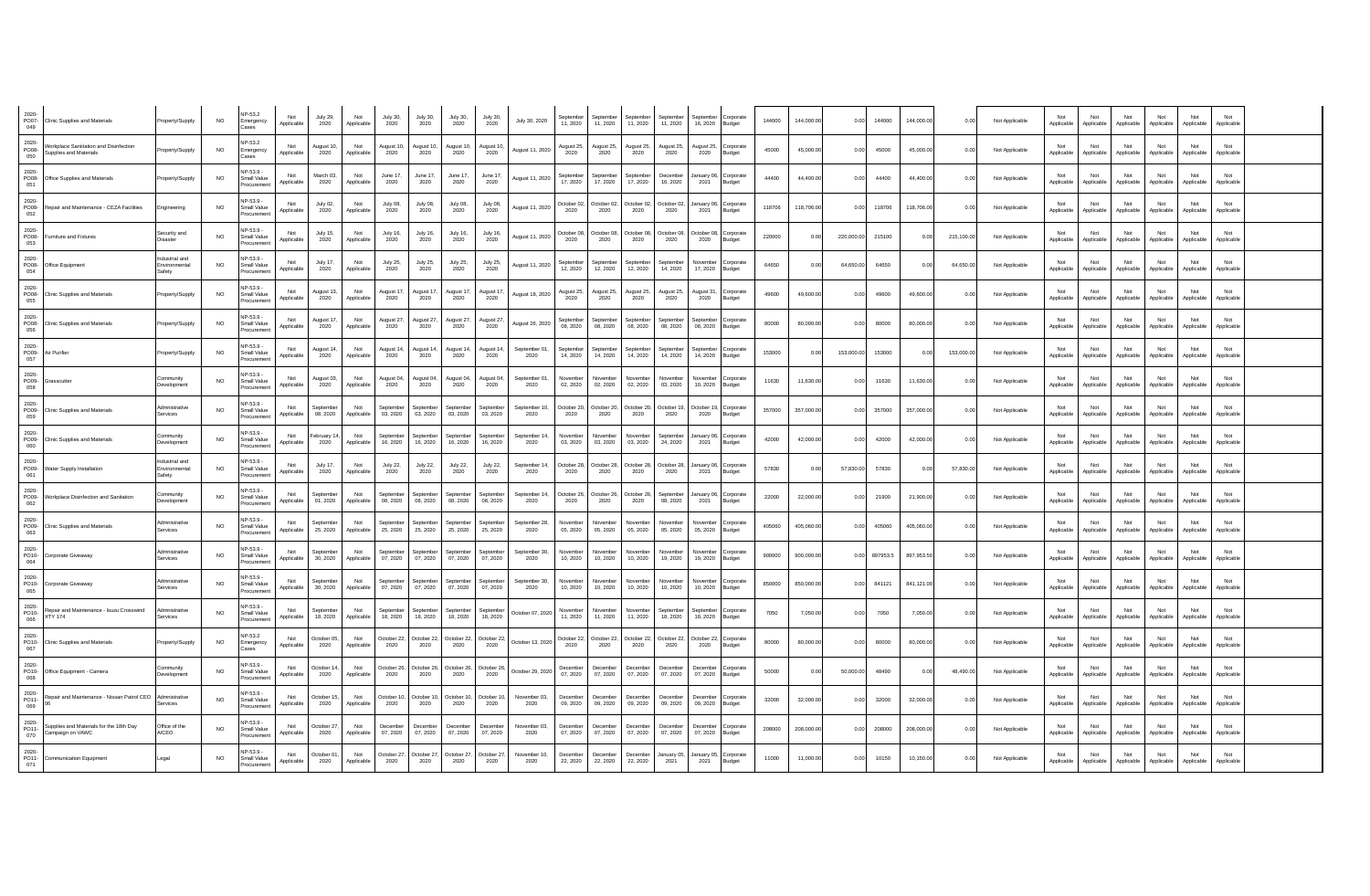| 2020-<br>PO07-<br>049    | Clinic Supplies and Materials                                   | Property/Supply                               | <b>NO</b> | NP-53.2<br>mergency<br>ases             | Not<br>Applicable | <b>July 29,</b><br>2020 | Not<br>Applicable | <b>July 30,</b><br>2020 | July 30,<br>2020        | July 30,<br>2020           | July 30,<br>2020             | July 30, 2020         | 11.2020              | 11.2020                      | 11.2020               | 11.2020               | 16, 2020              | Corporate<br>Budget | 144000 | 144,000.00 | 0.00       | 144000   | 144,000.00 | 0.00       | Not Applicable | Not<br>Applicable | Not<br>Applicable | Not<br>Applicable | Applicable        | Not<br>Applicable | Applicable        |  |
|--------------------------|-----------------------------------------------------------------|-----------------------------------------------|-----------|-----------------------------------------|-------------------|-------------------------|-------------------|-------------------------|-------------------------|----------------------------|------------------------------|-----------------------|----------------------|------------------------------|-----------------------|-----------------------|-----------------------|---------------------|--------|------------|------------|----------|------------|------------|----------------|-------------------|-------------------|-------------------|-------------------|-------------------|-------------------|--|
| $2020 -$<br>PO08-<br>050 | Vorkplace Saniitation and Disinfection<br>upplies and Materials | Property/Supply                               | <b>NO</b> | NP-53.2<br>Emergency<br>ases            | Applicable        | August 10<br>2020       | Not<br>Applicable | August 10,<br>2020      | August 10<br>2020       | August 10<br>2020          | August 10<br>2020            | August 11, 2020       | August 25<br>2020    | lugust 25,<br>2020           | August 25<br>2020     | August 25<br>2020     | August 25<br>2020     | Corporate<br>Budget | 45000  | 45,000.00  | 0.00       | 45000    | 45,000.00  | 0.00       | Not Applicable | Applicable        | Applicable        | Applicable        | Not<br>Applicable | Not<br>Applicable | Not<br>Applicable |  |
| 2020-<br>PO08-<br>051    | Office Supplies and Materials                                   | Property/Supply                               | <b>NO</b> | JP-539-<br>Small Value<br>rocuremen     | Not<br>Applicable | March 03,<br>2020       | Not<br>Applicable | June 17,<br>2020        | June 17,<br>2020        | June 17,<br>2020           | June 17,<br>2020             | August 11, 2020       | September<br>17.2020 | eptembe<br>17, 2020          | Septembe<br>17, 2020  | Decembe<br>16, 2020   | anuary 06<br>2021     | Corporate<br>Budget | 44400  | 44,400.00  | 0.00       | 44400    | 44,400.00  | 0.00       | Not Applicable | Not<br>Applicable | Not<br>Applicable | Not<br>Applicable | Not<br>Applicable | Not<br>Applicable | Not<br>Applicable |  |
| 2020-<br>052             | PO08- Repair and Maintenance - CEZA Facilities                  | Engineering                                   | <b>NO</b> | NP-53.9<br>Small Value<br>rocurement    | Not<br>Applicable | July 02,<br>2020        | Not<br>Applicable | July 08,<br>2020        | July 08,<br>2020        | July 08,<br>2020           | July 08<br>2020              | August 11, 2020       | October 02<br>2020   | October 02,<br>2020          | October 02,<br>2020   | October 02,<br>2020   | lanuary 06<br>2021    | Corporate<br>Budget | 118706 | 118,706.00 | 0.00       | 118706   | 118,706.00 | 0.00       | Not Applicable | Not<br>Applicable | Not<br>Applicable | Not<br>Applicable | Not<br>Applicable | Not<br>Applicable | Not<br>Applicable |  |
| 2020-<br>053             | PO08- Furniture and Fixtures                                    | ecurity and<br>Disaster                       | <b>NO</b> | NP-53.9 -<br>Small Value<br>Procurement | Not<br>Applicable | July 15,<br>2020        | Not<br>Applicable | <b>July 16,</b><br>2020 | July 16,<br>2020        | July 16,<br>2020           | July 16,<br>2020             | August 11, 2020       | October 08<br>2020   | October 08<br>2020           | October 08<br>2020    | October 08<br>2020    | October 08,<br>2020   | Corporate<br>Budget | 220000 | 0.00       | 220,000.00 | 215100   | 0.00       | 215,100.00 | Not Applicable | Not<br>Applicable | Not<br>Applicable | Not<br>Applicable | Not<br>Applicable | Not<br>Applicable | Not<br>Applicable |  |
| 2020-<br>PO08-<br>054    | Office Equipment                                                | hostrial and<br><b>Invironmental</b><br>afety | <b>NO</b> | NP-53 9 -<br>Small Value<br>ocuremer    | Not<br>Applicable | July 17,<br>2020        | Not<br>Applicable | July 25,<br>2020        | July 25,<br>2020        | July 25,<br>2020           | July 25<br>2020              | August 11, 2020       | Septembe<br>12, 2020 | eptembe<br>12, 2020          | 12, 2020              | September<br>14, 2020 | Novembe<br>17, 2020   | Corporate<br>Budget | 64650  | 0.0        | 64,650.00  | 64650    | 0.00       | 64,650.00  | Not Applicable | Not<br>Applicable | Not<br>Applicable | Not<br>Applicable | Not<br>Applicable | Not<br>Applicable | Not<br>Applicable |  |
| 2020-<br>055             | PO08- Clinic Supplies and Materials                             | Property/Supply                               | <b>NO</b> | JP-53 9 -<br>Small Value<br>rocuremen   | Not<br>Applicable | August 13,<br>2020      | Not<br>Applicable | August 17,<br>2020      | August 17<br>2020       | August 17<br>2020          | August 17<br>2020            | August 18, 2020       | August 25,<br>2020   | lugust 25,<br>2020           | August 25,<br>2020    | August 25,<br>2020    | August 31<br>2020     | Corporate<br>Budget | 49600  | 49,600.00  | 0.00       | 49600    | 49,600.00  | 0.00       | Not Applicable | Not<br>Applicable | Not<br>Applicable | Not<br>Applicable | Not<br>Applicable | Not<br>Applicable | Not<br>Applicable |  |
| 2020-<br>PO08-<br>056    | Clinic Supplies and Materials                                   | Property/Supply                               | <b>NO</b> | NP-53 9 -<br>Small Value<br>rocuremen   | Not<br>Applicable | August 17<br>2020       | Not<br>Applicable | August 27,<br>2020      | August 27<br>2020       | August 27<br>2020          | August 27,<br>2020           | August 26, 2020       | Septembe<br>08, 2020 | eptembe<br>08, 2020          | 08, 2020              | September<br>08, 2020 | Septembe<br>08, 2020  | Corporate<br>Budget | 80000  | 80,000.00  | 0.00       | 80000    | 80,000.00  | 0.00       | Not Applicable | Not<br>Applicable | Not<br>Applicable | Not<br>Applicable | Not<br>Applicable | Not<br>Applicable | Not<br>Applicable |  |
| 2020-<br>057             | PO09- Air Purifier                                              | Property/Supply                               | <b>NO</b> | NP-53.9 -<br>Small Value<br>rocurement  | Not<br>Applicable | August 14,<br>2020      | Not<br>Applicable | August 14,<br>2020      | August 14,<br>2020      | August 14,<br>2020         | August 14,<br>2020           | September 01,<br>2020 | September<br>14 2020 | <b>Sentember</b><br>14, 2020 | Sentember<br>14, 2020 | September<br>14, 2020 | Sentembe<br>14, 2020  | orporate<br>Budget  | 153000 | 0.00       | 153,000.00 | 153000   | 0.00       | 153,000.00 | Not Applicable | Not<br>Applicable | Not<br>Applicable | Not<br>Applicable | Not<br>Applicable | Not<br>Applicable | Not<br>Applicable |  |
| 2020-<br>PO09-<br>058    | Grasscutter                                                     | Community<br><b>Development</b>               | <b>NO</b> | NP-53.9 -<br>Small Value<br>rocuremen   | Not<br>Applicable | August 03,<br>2020      | Not<br>Applicable | August 04,<br>2020      | August 04<br>2020       | August 04,<br>2020         | August 04,<br>2020           | September 01<br>2020  | Novembe<br>02.2020   | Vovember<br>02.2020          | November<br>02.2020   | November<br>03.2020   | November<br>10.2020   | Corporate<br>Budget | 11630  | 11,630.00  | 0.00       | 11630    | 11,630.00  | 0.00       | Not Applicable | Not<br>Applicable | Not<br>Applicable | Not<br>Applicable | Not<br>Applicable | Not<br>Applicable | Not<br>Applicable |  |
| 2020-<br>PO09-<br>059    | <b>Clinic Supplies and Materials</b>                            | Admnistrative<br>Services                     | NO.       | P-53.9 -<br>Small Value<br>rocuremen    | Not<br>Applicable | Septembe<br>08.2020     | Not<br>Applicable | September<br>03.2020    | Septembe<br>03.2020     | eptembe<br>03, 2020        | eptembe<br>03.2020           | September 10<br>2020  | October 20<br>2020   | October 20,<br>2020          | October 20,<br>2020   | October 19,<br>2020   | October 19<br>2020    | Corporate<br>Budget | 357000 | 357,000.00 | 0.00       | 357000   | 357,000.00 | 0.00       | Not Applicable | Not<br>Applicable | Not<br>Applicable | Not<br>Applicable | Not<br>Applicable | Not<br>Applicable | Not<br>Applicable |  |
| 2020-<br>PO09-<br>060    | Clinic Supplies and Materials                                   | Community<br><b>Development</b>               | <b>NO</b> | NP-53.9 -<br>Small Value<br>ocuremen    | Not<br>Applicable | ebruary 1<br>2020       | Not<br>Applicable | September<br>16, 2020   | Septembe<br>16, 2020    | september<br>16, 2020      | September<br>16, 2020        | September 14<br>2020  | November<br>03, 2020 | Vovembe<br>03, 2020          | Novembe<br>03, 2020   | Septembe<br>24, 2020  | anuary 06<br>2021     | Corporate<br>Budget | 42000  | 42,000.00  | 0.00       | 42000    | 42,000.00  | 0.00       | Not Applicable | Not<br>Applicable | Not<br>Applicable | Not<br>Applicable | Not<br>Applicable | Not<br>Applicable | Not<br>Applicable |  |
| 2020-<br>061             | PO09- Water Supply Installation                                 | ndustrial and<br>Environmental<br>Safety      | <b>NO</b> | NP-53.9 -<br>Small Value<br>rocuremen   | Not<br>Applicable | July 17,<br>2020        | Not<br>Applicable | <b>July 22,</b><br>2020 | <b>July 22,</b><br>2020 | July 22,<br>2020           | <b>July 22,</b><br>2020      | September 14<br>2020  | October 28<br>2020   | October 28,<br>2020          | October 28,<br>2020   | October 28,<br>2020   | January 06,<br>2021   | Corporate<br>Budget | 57830  | 0.00       | 57,830.00  | 57830    | 0.00       | 57,830.00  | Not Applicable | Not<br>Applicable | Not<br>Applicable | Not<br>Applicable | Not<br>Applicable | Not<br>Applicable | Not<br>Applicable |  |
| 2020-<br>PO09-<br>062    | <b>Norkplace Disinfection and Sanitation</b>                    | ommunity<br>evelopmen                         | NO.       | NP-53.9 -<br>Small Value<br>pcuremer    | Not<br>Applicable | September<br>01.2020    | Not<br>Applicable | September<br>08, 2020   | Septemb<br>08, 2020     | eptembe<br>08, 2020        | aptember<br>08, 2020         | September 14<br>2020  | October 26<br>2020   | October 26<br>2020           | October 26<br>2020    | Septembe<br>08.2020   | lanuary 06<br>2021    | Corporate<br>Budget | 22000  | 22,000.0   | 0.00       | 21900    | 21,900.00  | 0.00       | Not Applicable | Not<br>Applicable | Not<br>Applicable | Not<br>Applicable | Not<br>Applicable | Not<br>Applicable | Not<br>Applicable |  |
| 2020-<br>PO09-<br>063    | Clinic Supplies and Materials                                   | Admnistrative<br>Services                     | NO.       | VP-53.9 -<br>Small Value<br>rocuremen   | Not<br>Applicable | Septembe<br>25, 2020    | Not<br>Applicable | Sentember<br>25, 2020   | Septembe<br>25, 2020    | <b>Antembe</b><br>25, 2020 | <b>Sentember</b><br>25, 2020 | September 28<br>2020  | Novembe<br>05.2020   | November<br>05.2020          | November<br>05.2020   | Novembe<br>05.2020    | November<br>05.2020   | Corporate<br>Budget | 405060 | 405,060.00 | 0.00       | 405060   | 405,060.00 | 0.00       | Not Applicable | Not<br>Applicable | Not<br>Applicable | Not<br>Applicable | Not<br>Applicable | Not<br>Applicable | Not<br>Applicable |  |
| 2020-<br>PO10-<br>064    | Corporate Giveaway                                              | Admnistrative<br>Services                     | <b>NO</b> | NP-53.9 -<br>Small Value<br>rocuremen   | Not<br>Applicable | Sentember<br>30, 2020   | Not<br>Applicable | September<br>07, 2020   | Septembe<br>07, 2020    | <b>Antembe</b><br>07, 2020 | September<br>07, 2020        | September 30<br>2020  | Novembe<br>10, 2020  | Vovember<br>10, 2020         | November<br>10, 2020  | November<br>19, 2020  | November<br>19, 2020  | Corporate<br>Budget | 900000 | 900,000.0  | 0.00       | 897953.5 | 897,953.50 | 0.00       | Not Applicable | Not<br>Applicable | Not<br>Applicable | Not<br>Applicable | Not<br>Applicable | Not<br>Applicable | Not<br>Applicable |  |
| 2020-<br>PO10-<br>065    | Corporate Giveaway                                              | Admnistrative<br>Services                     | <b>NO</b> | NP-53.9 -<br>Small Value<br>rocurement  | Not<br>Applicable | Septembe<br>30, 2020    | Not<br>Applicable | September<br>07, 2020   | Septembe<br>07.2020     | Septembe<br>07.2020        | September<br>07, 2020        | September 30,<br>2020 | Novembe<br>10.2020   | Vovember<br>10, 2020         | November<br>10, 2020  | Novembe<br>10, 2020   | November<br>10, 2020  | orporate<br>Budget  | 850000 | 850,000.00 | 0.00       | 841121   | 841,121.00 | 0.00       | Not Applicable | Not<br>Applicable | Not<br>Applicable | Not<br>Applicable | Not<br>Applicable | Not<br>Applicable | Not<br>Applicable |  |
| 2020-<br>PO10-<br>066    | Repair and Maintenance - Isuzu Crosswind<br><b>XTY 174</b>      | Admnistrative<br>Services                     | <b>NO</b> | NP-53.9 -<br>Small Value<br>ocureme     | Not<br>Applicable | September<br>18, 2020   | Not<br>Applicable | Sentember<br>18, 2020   | Septembe<br>18, 2020    | eptembe<br>18, 2020        | antomho<br>18, 2020          | October 07, 2020      | Novembe<br>11, 2020  | Jovamhar<br>11, 2020         | November<br>11, 2020  | September<br>18, 2020 | Sentember<br>18, 2020 | Corporate<br>Budget | 7050   | 7,050.00   | 0.00       | 7050     | 7,050.00   | 0.00       | Not Applicable | Not<br>Applicable | Not<br>Applicable | Not<br>Applicable | Not<br>Applicable | Not<br>Applicable | Not<br>Applicable |  |
| 2020-<br>PO10-<br>067    | Clinic Supplies and Materials                                   | Property/Supply                               | <b>NO</b> | P-53.2<br>Emergency                     | Not<br>Applicable | October 05<br>2020      | Not<br>Applicable | October 22<br>2020      | October 22<br>2020      | October 22.<br>2020        | October 22<br>2020           | October 13, 2020      | October 22<br>2020   | October 22<br>2020           | October 22.<br>2020   | October 22.<br>2020   | October 22.<br>2020   | Corporate<br>Budget | 80000  | 80,000.00  | 0.00       | 80000    | 80,000.00  | 0.00       | Not Applicable | Not<br>Applicable | Not<br>Applicable | Not<br>Applicable | Not<br>Applicable | Not<br>Applicable | Not<br>Applicable |  |
| 2020-<br>PO10-<br>068    | Office Equipment - Camera                                       | Community<br>evelopment                       | <b>NO</b> | P-53.9 -<br>Small Value<br>ocureme      | Not<br>Applicable | October 14<br>2020      | Not<br>Applicable | October 26<br>2020      | October 26<br>2020      | October 26.<br>2020        | October 26<br>2020           | October 29, 2020      | December<br>07.2020  | <b>Jecember</b><br>07.2020   | December<br>07.2020   | December<br>07.2020   | December<br>07.2020   | orporate<br>Budget  | 50000  | 00         | 50,000.00  | 48490    | 0.00       | 48,490.00  | Not Applicable | Not<br>Applicable | Not<br>Applicable | Not<br>Applicable | Not<br>Applicable | Not<br>Applicable | Not<br>Applicable |  |
| 2020-<br>PO11-<br>069    | Renair and Maintenance - Nissan Patrol CEO                      | Admnistrative<br>Services                     | <b>NO</b> | NP-53.9 -<br>Small Value<br>ocuremen    | Not<br>Applicable | October 15<br>2020      | Not<br>Applicable | October 10<br>2020      | October 10<br>2020      | October 10<br>2020         | October 10<br>2020           | November 03<br>2020   | December<br>09 2020  | December<br>09.2020          | December<br>09.2020   | December<br>09.2020   | December<br>09.2020   | Corporate<br>Budget | 32000  | 32,000.00  | 0.00       | 32000    | 32,000.00  | 0.00       | Not Applicable | Not<br>Applicable | Not<br>Applicable | Not<br>Applicable | Not<br>Applicable | Not<br>Applicable | Not<br>Applicable |  |
| 2020-<br>PO11-<br>070    | Supplies and Materials for the 18th Day<br>Campaign on VAWC     | Office of the<br>A/CEO                        | NO.       | NP-53.9<br>Small Value<br>ocuremer      | Not<br>Applicable | October 27<br>2020      | Not<br>Applicable | December<br>07.2020     | Decembe<br>07.2020      | December<br>07.2020        | December<br>07.2020          | November 03<br>2020   | Decembe<br>07.2020   | December<br>07.2020          | December<br>07.2020   | December<br>07.2020   | December<br>07.2020   | Corporate<br>Budget | 208000 | 208,000.00 | 0.00       | 208000   | 208,000.00 | 0.00       | Not Applicable | Not<br>Applicable | Not<br>Applicable | Not<br>Applicable | Not<br>Applicable | Not<br>Applicable | Not<br>Applicable |  |
| 071                      | 2020-<br>PO11- Communication Equipment                          | Legal                                         | NO.       | VP-53.9 -<br>Small Value<br>rocurement  | Not<br>Applicable | October 01.<br>2020     | Not<br>Applicable | October 27.<br>2020     | October 27<br>2020      | October 27.<br>2020        | October 27<br>2020           | November 10<br>2020   | December<br>22, 2020 | December<br>22, 2020         | December<br>22, 2020  | January 05<br>2021    | January 05,<br>2021   | Corporate<br>Budget | 11000  | 11,000.00  | 0.00       | 10150    | 10,150.00  | 0.00       | Not Applicable | Not<br>Applicable | Not<br>Applicable | Not<br>Applicable | Not<br>Applicable | Not<br>Applicable | Not<br>Applicable |  |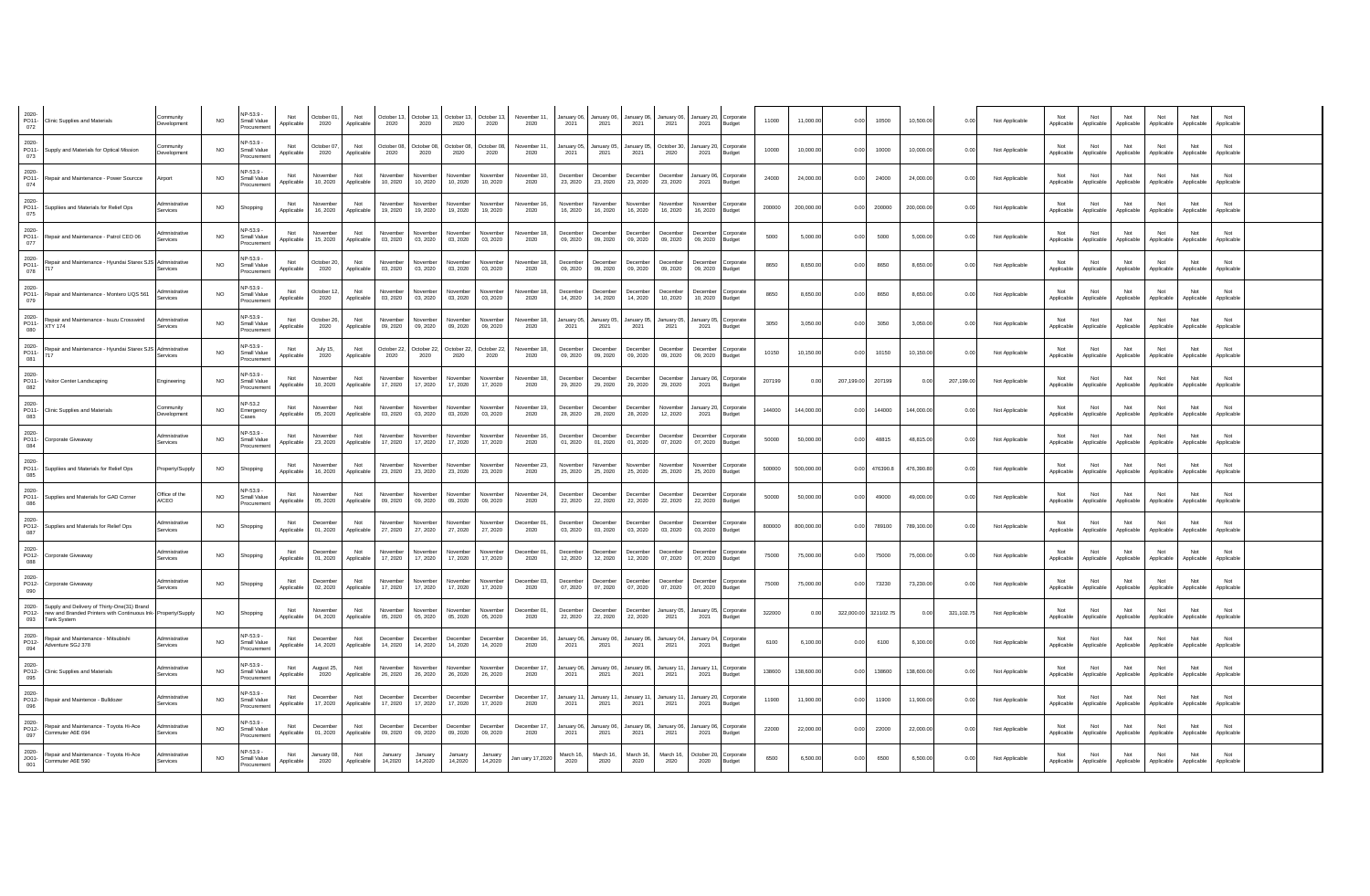| 2020-<br>PO11-<br>072   | Clinic Supplies and Materials                                                                                                      | Community<br>Development       | <b>NO</b>      | NP-53 9 -<br>Small Value<br>rocuremen        | Not<br>Applicable | October 01<br>2020   | Not<br>Applicable | October 13,<br>2020  | October 13<br>2020   | October 13,<br>2020  | October 13,<br>2020         | November 11,<br>2020 | anuary 06<br>2021    | January 06<br>2021   | anuary 06<br>2021    | lanuarv 06<br>2021   | January 20.<br>2021  | Corporate<br>Budget       | 11000  | 11,000.00  | 0.00       | 10500         | 10,500.00  | 0.00       | Not Applicable | Not<br>Applicable | Not<br>Applicable | Not<br>Applicable | Applicable        | Not<br>Applicable | Applicable        |  |
|-------------------------|------------------------------------------------------------------------------------------------------------------------------------|--------------------------------|----------------|----------------------------------------------|-------------------|----------------------|-------------------|----------------------|----------------------|----------------------|-----------------------------|----------------------|----------------------|----------------------|----------------------|----------------------|----------------------|---------------------------|--------|------------|------------|---------------|------------|------------|----------------|-------------------|-------------------|-------------------|-------------------|-------------------|-------------------|--|
| 2020-<br>073            | PO11- Supply and Materials for Optical Mission                                                                                     | Community<br>evelopment        | <b>NO</b>      | VP-53 9-<br>Small Value<br>rocuremen         | pplicable         | October 07<br>2020   | Not<br>Applicable | October 08<br>2020   | October 08<br>2020   | October 08<br>2020   | October 08<br>2020          | November 11<br>2020  | lanuary 0<br>2021    | January 0<br>2021    | January 05<br>2021   | October 30<br>2020   | January 20<br>2021   | Corporate<br>Budget       | 10000  | 10,000.00  | 0.00       | 10000         | 10,000.00  | 0.00       | Not Applicable | Applicable        | Applicable        | Not<br>Applicable | Not<br>Applicable | Not<br>Applicable | Not<br>Applicable |  |
| 2020-<br>PO11-<br>074   | Repair and Maintenance - Power Sourcce                                                                                             | Airport                        | <b>NO</b>      | VP-53 9-<br>Small Value<br>rocuremen         | Not<br>Applicable | November<br>10.2020  | Not<br>Applicable | Vovember<br>10, 2020 | Novembe<br>10.2020   | November<br>10, 2020 | <b>Jovember</b><br>10, 2020 | November 10,<br>2020 | December<br>23, 2020 | December<br>23, 2020 | December<br>23, 2020 | Decembe<br>23, 2020  | anuary 06<br>2021    | Corporate<br>Budget       | 24000  | 24,000.00  | 0.00       | 24000         | 24,000.00  | 0.00       | Not Applicable | Not<br>Applicable | Not<br>Applicable | Not<br>Applicable | Not<br>Applicable | Not<br>Applicable | Not<br>Applicable |  |
| 2020-<br>075            | PO11- Suppliies and Materials for Relief Ops                                                                                       | dmnistrative<br>ervices        | <b>NO</b>      | Shopping                                     | Not<br>Applicable | November<br>16, 2020 | Not<br>Applicable | Vovembe<br>19, 2020  | Novembe<br>19, 2020  | November<br>19, 2020 | Vovember<br>19, 2020        | November 16,<br>2020 | Vovembe<br>16, 2020  | Novembe<br>16, 2020  | November<br>16, 2020 | Novembe<br>16, 2020  | Novembe<br>16, 2020  | orporate<br>Budget        | 200000 | 200,000.00 | 0.00       | 200000        | 200,000.00 | 0.00       | Not Applicable | Not<br>Applicable | Not<br>Applicable | Not<br>Applicable | Not<br>Applicable | Not<br>Applicable | Not<br>Applicable |  |
| 2020-<br>077            | PO11- Repair and Maintenance - Patrol CEO 06                                                                                       | dmnistrative<br>arvices        | <b>NO</b>      | NP-53.9 -<br>Small Value<br>Procuremen       | Not<br>Applicable | November<br>15, 2020 | Not<br>Applicable | Vovembe<br>03, 2020  | Novembe<br>03, 2020  | Novembe<br>03, 2020  | lovembe<br>03, 2020         | November 18,<br>2020 | Decembe<br>09, 2020  | Decembe<br>09, 2020  | December<br>09, 2020 | Decembe<br>09, 2020  | Decembe<br>09, 2020  | Corporate<br>Budget       | 5000   | 5.000.00   | 0.00       | 5000          | 5,000.00   | 0.00       | Not Applicable | Not<br>Applicable | Not<br>Applicable | Not<br>Applicable | Not<br>Applicable | Not<br>Applicable | Not<br>Applicable |  |
| 2020-<br>PO11-<br>078   | Repair and Maintenance - Hyundai Starex SJS                                                                                        | Admnistrativ<br>rvices         | <b>NO</b>      | VP-53 9-<br>Small Value<br>rocuremer         | Not<br>Applicable | October 20<br>2020   | Not<br>Applicable | Vovembe<br>03, 2020  | Vovembe<br>03, 2020  | vovember<br>03, 2020 | lovember<br>03, 2020        | November 18,<br>2020 | Decembe<br>09, 2020  | December<br>09, 2020 | December<br>09, 2020 | Decembe<br>09, 2020  | Decembe<br>09, 2020  | Corporate<br>Budget       | 8650   | 8.650.00   | 0.00       | 8650          | 8.650.00   | 0.00       | Not Applicable | Not<br>Applicable | Not<br>Applicable | Not<br>Applicable | Not<br>Applicable | Not<br>Applicable | Not<br>Applicable |  |
| 2020-<br>079            | PO11- Repair and Maintenance - Montero UQS 561                                                                                     | <b>Imnistrative</b><br>arvices | <b>NO</b>      | VP-53 9-<br>Small Value<br>rocuremen         | Not<br>Applicable | October 12<br>2020   | Not<br>Applicable | Vovembe<br>03, 2020  | Vovembe<br>03.2020   | ovembe<br>03.2020    | ovembe<br>03.2020           | November 18.<br>2020 | Decembe<br>14, 2020  | Decembe<br>14, 2020  | December<br>14, 2020 | Decembe<br>10, 2020  | Decembe<br>10.2020   | Corporate<br>Budget       | 8650   | 8,650.00   | 0.00       | 8650          | 8.650.00   | 0.00       | Not Applicable | Not<br>Applicable | Not<br>Applicable | Not<br>Applicable | Not<br>Applicable | Not<br>Applicable | Not<br>Applicable |  |
| 2020-<br>PO11-<br>080   | Repair and Maintenance - Isuzu Crosswind<br><b>XTY 174</b>                                                                         | dmnistrativ<br>arvices         | <b>NO</b>      | VP-53 9-<br>Small Value<br>rocuremen         | Not<br>Applicable | October 26<br>2020   | Not<br>Applicable | Vovembe<br>09, 2020  | Novembe<br>09, 2020  | Vovembe<br>09, 2020  | <b>Jovember</b><br>09, 2020 | November 18.<br>2020 | anuary 0<br>2021     | January 05<br>2021   | January 05,<br>2021  | January 05<br>2021   | January 05<br>2021   | Corporate<br>Budget       | 3050   | 3,050.00   | 0.00       | 3050          | 3,050.00   | 0.00       | Not Applicable | Not<br>Applicable | Not<br>Applicable | Not<br>Applicable | Not<br>Applicable | Not<br>Applicable | Not<br>Applicable |  |
| 2020-<br>PO11-<br>081   | Repair and Maintenance - Hyundai Starex SJS Admnistrative<br>717                                                                   | <b>Services</b>                | N <sub>O</sub> | VP-53.9 -<br>Small Value<br>rocuremen        | Not<br>Applicable | July 15,<br>2020     | Not<br>Applicable | October 22.<br>2020  | October 22<br>2020   | October 22,<br>2020  | October 22.<br>2020         | November 18.<br>2020 | Decembe<br>09 2020   | December<br>09 2020  | December<br>09.2020  | December<br>09 2020  | Decembe<br>09.2020   | orporate<br>Budget        | 10150  | 10,150.00  | 0.00       | 10150         | 10,150.00  | 0.00       | Not Applicable | Not<br>Applicable | Not<br>Applicable | Not<br>Applicable | Not<br>Applicable | Not<br>Applicable | Not<br>Applicable |  |
| 2020-<br>PO11-<br>082   | Visitor Center Landscaping                                                                                                         | Engineering                    | <b>NO</b>      | <b>NP-53.9 -</b><br>Small Value<br>rocuremen | Not<br>Applicable | November<br>10.2020  | Not<br>Applicable | Vovember<br>17, 2020 | Novembe<br>17, 2020  | Novembe<br>17.2020   | November<br>17, 2020        | November 18.<br>2020 | Decembe<br>29.2020   | December<br>29, 2020 | December<br>29, 2020 | December<br>29.2020  | anuary 06<br>2021    | Corporate<br>Budget       | 207199 | 0.00       | 207,199.00 | 207199        | 0.00       | 207,199.00 | Not Applicable | Not<br>Applicable | Not<br>Applicable | Not<br>Applicable | Not<br>Applicable | Not<br>Applicable | Not<br>Applicable |  |
| 2020-<br>PO11-<br>083   | <b>Clinic Supplies and Materials</b>                                                                                               | ommunity<br>Development        | <b>NO</b>      | <b>VP-53.2</b><br>Emergency<br>Cases         | Not<br>Applicable | November<br>05.2020  | Not<br>Applicable | Vovember<br>03, 2020 | Novembe<br>03.2020   | November<br>03.2020  | Jovember<br>03.2020         | November 19,<br>2020 | December<br>28, 2020 | December<br>28, 2020 | December<br>28, 2020 | Novembe<br>12, 2020  | January 20<br>2021   | Corporate<br>Budget       | 144000 | 144,000.00 | 0.00       | 144000        | 144,000.00 | 0.00       | Not Applicable | Not<br>Applicable | Not<br>Applicable | Not<br>Applicable | Not<br>Applicable | Not<br>Applicable | Not<br>Applicable |  |
| 2020-<br>PO11-<br>084   | Corporate Giveaway                                                                                                                 | Admnistrative<br>Services      | <b>NO</b>      | <b>NP-53.9 -</b><br>Small Value<br>rocuremen | Not<br>Applicable | November<br>23, 2020 | Not<br>Applicable | Vovember<br>17, 2020 | Novembe<br>17, 2020  | Novembe<br>17, 2020  | November<br>17, 2020        | November 16,<br>2020 | December<br>01, 2020 | December<br>01, 2020 | December<br>01, 2020 | Decembe<br>07, 2020  | Decembe<br>07, 2020  | orporate<br><b>Budget</b> | 50000  | 50,000.00  | 0.00       | 48815         | 48,815.00  | 0.00       | Not Applicable | Not<br>Applicable | Not<br>Applicable | Not<br>Applicable | Not<br>Applicable | Not<br>Applicable | Not<br>Applicable |  |
| 2020-<br>085            | PO11- Suppliies and Materials for Relief Ops                                                                                       | Property/Supply                | <b>NO</b>      | Shopping                                     | Not<br>Applicable | November<br>16, 2020 | Not<br>Applicable | Vovember<br>23, 2020 | Novembe<br>23, 2020  | Novembe<br>23, 2020  | November<br>23, 2020        | November 23,<br>2020 | Vovembe<br>25, 2020  | November<br>25, 2020 | November<br>25, 2020 | Novembe<br>25, 2020  | November<br>25, 2020 | orporate<br>Budget        | 500000 | 500,000.00 |            | 0.00 476390.8 | 476,390.80 | 0.00       | Not Applicable | Not<br>Applicable | Not<br>Applicable | Not<br>Applicable | Not<br>Applicable | Not<br>Applicable | Not<br>Applicable |  |
| 2020-<br>PO11-<br>086   | Supplies and Materials for GAD Corner                                                                                              | Office of the<br>A/CEO         | <b>NO</b>      | NP-53.9 -<br>Small Value<br>ocuremer         | Not<br>Applicable | November<br>05.2020  | Not<br>Applicable | Vovembe<br>09, 2020  | Novembe<br>09, 2020  | Vovember<br>09, 2020 | <b>Jovember</b><br>09, 2020 | November 24,<br>2020 | Decembe<br>22, 2020  | December<br>22, 2020 | December<br>22, 2020 | Decembe<br>22, 2020  | Decembe<br>22, 2020  | orporate<br>Budget        | 50000  | 50,000.00  | 0.00       | 49000         | 49,000.00  | 0.00       | Not Applicable | Not<br>Applicable | Not<br>Applicable | Not<br>Applicable | Not<br>Applicable | Not<br>Applicable | Not<br>Applicable |  |
| 2020-<br>PO12-<br>087   | Supplies and Materials for Relief Ops                                                                                              | Admnistrative<br>Services      | <b>NO</b>      | Shopping                                     | Not<br>Applicable | December<br>01.2020  | Not<br>Applicable | Vovember<br>27, 2020 | November<br>27, 2020 | November<br>27.2020  | November<br>27, 2020        | December 01.<br>2020 | Decembe<br>03 2020   | December<br>03 2020  | December<br>03.2020  | December<br>03.2020  | December<br>03 2020  | Corporate<br>Budget       | 800000 | 800,000.00 | 0.00       | 789100        | 789,100.00 | 0.00       | Not Applicable | Not<br>Applicable | Not<br>Applicable | Not<br>Applicable | Not<br>Applicable | Not<br>Applicable | Not<br>Applicable |  |
| 2020-<br>088            | PO12- Corporate Giveaway                                                                                                           | Admnistrative<br>Services      | <b>NO</b>      | Shopping                                     | Not<br>Applicable | December<br>01, 2020 | Not<br>Applicable | Vovember<br>17, 2020 | Novembe<br>17, 2020  | November<br>17, 2020 | November<br>17, 2020        | December 01.<br>2020 | Decembe<br>12, 2020  | December<br>12, 2020 | December<br>12, 2020 | December<br>07, 2020 | December<br>07.2020  | Corporate<br>Budget       | 75000  | 75,000.00  | 0.00       | 75000         | 75,000.00  | 0.00       | Not Applicable | Not<br>Applicable | Not<br>Applicable | Not<br>Applicable | Not<br>Applicable | Not<br>Applicable | Not<br>Applicable |  |
| 2020-<br>090            | PO12- Corporate Giveaway                                                                                                           | Admnistrative<br>Services      | <b>NO</b>      | Shopping                                     | Not<br>Applicable | December<br>02.2020  | Not<br>Applicable | Vovember<br>17, 2020 | Novembe<br>17, 2020  | November<br>17, 2020 | November<br>17.2020         | December 03,<br>2020 | Decembe<br>07.2020   | December<br>07.2020  | December<br>07.2020  | Decembe<br>07.2020   | December<br>07.2020  | orporate<br>Budget        | 75000  | 75,000.00  | 0.00       | 73230         | 73,230.00  | 0.00       | Not Applicable | Not<br>Applicable | Not<br>Applicable | Not<br>Applicable | Not<br>Applicable | Not<br>Applicable | Not<br>Applicable |  |
| 2020-<br>PO12-<br>093   | Supply and Delivery of Thirty-One(31) Brand<br>new and Branded Printers with Continuous Ink- Property/Supply<br><b>Tank System</b> |                                | <b>NO</b>      | Shopping                                     | Not<br>Applicable | November<br>04, 2020 | Not<br>Applicable | Voyamhar<br>05, 2020 | Novembe<br>05, 2020  | Novembe<br>05, 2020  | November<br>05, 2020        | December 01<br>2020  | Decembe<br>22, 2020  | December<br>22, 2020 | December<br>22, 2020 | lanuary 05<br>2021   | January 05<br>2021   | Corporate<br>Budget       | 322000 | 0.00       | 322,000.00 | 321102.75     | 0.00       | 321,102.75 | Not Applicable | Not<br>Applicable | Not<br>Applicable | Not<br>Applicable | Not<br>Applicable | Not<br>Applicable | Not<br>Applicable |  |
| 2020-<br>PO12-<br>094   | Repair and Maintenance - Mitsubishi<br>Adventure SGJ 378                                                                           | Admnistrative<br>Services      | NO.            | VP-53.9 -<br>Small Value<br>rocuremer        | Not<br>Applicable | December<br>14, 2020 | Not<br>Applicable | December<br>14, 2020 | December<br>14, 2020 | December<br>14, 2020 | December<br>14, 2020        | December 16.<br>2020 | lanuary 06<br>2021   | January 06<br>2021   | January 06,<br>2021  | lanuary 04<br>2021   | January 04<br>2021   | orporate<br>Budget        | 6100   | 6,100.00   | 0.00       | 6100          | 6,100.00   | 0.00       | Not Applicable | Not<br>Applicable | Not<br>Applicable | Not<br>Applicable | Not<br>Applicable | Not<br>Applicable | Not<br>Applicable |  |
| 2020-<br>PO12-<br>095   | Clinic Supplies and Materials                                                                                                      | Admnistrative<br>Services      | <b>NO</b>      | <b>NP-53.9 -</b><br>Small Value<br>rocureme  | Not<br>Applicable | August 25,<br>2020   | Not<br>Applicable | Vovember<br>26, 2020 | Novembe<br>26, 2020  | Novembe<br>26, 2020  | November<br>26, 2020        | December 17,<br>2020 | anuary 06<br>2021    | lanuary 06,<br>2021  | January 06<br>2021   | lanuary 1<br>2021    | anuary 1<br>2021     | orporate<br>Budget        | 138600 | 138,600.00 | 0.00       | 138600        | 138,600.00 | 0.00       | Not Applicable | Not<br>Applicable | Not<br>Applicable | Not<br>Applicable | Not<br>Applicable | Not<br>Applicable | Not<br>Applicable |  |
| 2020-<br>096            | PO12- Repair and Maintence - Bulldozer                                                                                             | Admnistrative<br>Services      | <b>NO</b>      | <b>NP-53.9 -</b><br>Small Value<br>rocuremer | Not<br>Annlicable | December<br>17 2020  | Not<br>Applicable | December<br>17, 2020 | December<br>17 2020  | December<br>17 2020  | December<br>17 2020         | December 17<br>2020  | lanuary 1<br>2021    | January 1<br>2021    | January 11<br>2021   | January 1<br>2021    | January 20<br>2021   | Corporate<br>Budget       | 11900  | 11,900.00  | 0.00       | 11900         | 11,900.00  | 0.00       | Not Applicable | Not<br>Applicable | Not<br>Applicable | Not<br>Applicable | Not<br>Applicable | Not<br>Applicable | Not<br>Applicable |  |
| 2020-<br>PO12-<br>097   | Repair and Maintenance - Toyota Hi-Ace<br>Commuter A6E 694                                                                         | Admnistrative<br>Services      | <b>NO</b>      | <b>NP-53.9</b><br>Small Value<br>rocuremer   | Not<br>Applicable | December<br>01.2020  | Not<br>Applicable | Jecember<br>09.2020  | Decembe<br>09.2020   | Decembe<br>09.2020   | December<br>09.2020         | December 17<br>2020  | anuary 06<br>2021    | lanuary 06<br>2021   | January 06<br>2021   | lanuary Of<br>2021   | anuary 06<br>2021    | Corporate<br>Budget       | 22000  | 22,000.00  | 0.00       | 22000         | 22,000.00  | 0.00       | Not Applicable | Not<br>Applicable | Not<br>Applicable | Not<br>Applicable | Not<br>Applicable | Not<br>Applicable | Not<br>Applicable |  |
| 2020-<br>$JO01-$<br>001 | Repair and Maintenance - Toyota Hi-Ace<br>Commuter A6E 590                                                                         | Admnistrative<br>Services      | <b>NO</b>      | IP-53.9 -<br>Small Value<br>Procurement      | Not<br>Applicable | January 08.<br>2020  | Not<br>Applicable | January<br>14,2020   | January<br>14,2020   | January<br>14,2020   | January<br>14 2020          | Jan uary 17,2020     | March 16<br>2020     | March 16<br>2020     | March 16.<br>2020    | March 16<br>2020     | October 20<br>2020   | Corporate<br>Budget       | 6500   | 6,500.00   | 0.00       | 6500          | 6,500.00   | 0.00       | Not Applicable | Not<br>Applicable | Not<br>Applicable | Not<br>Applicable | Not<br>Applicable | Not<br>Applicable | Not<br>Applicable |  |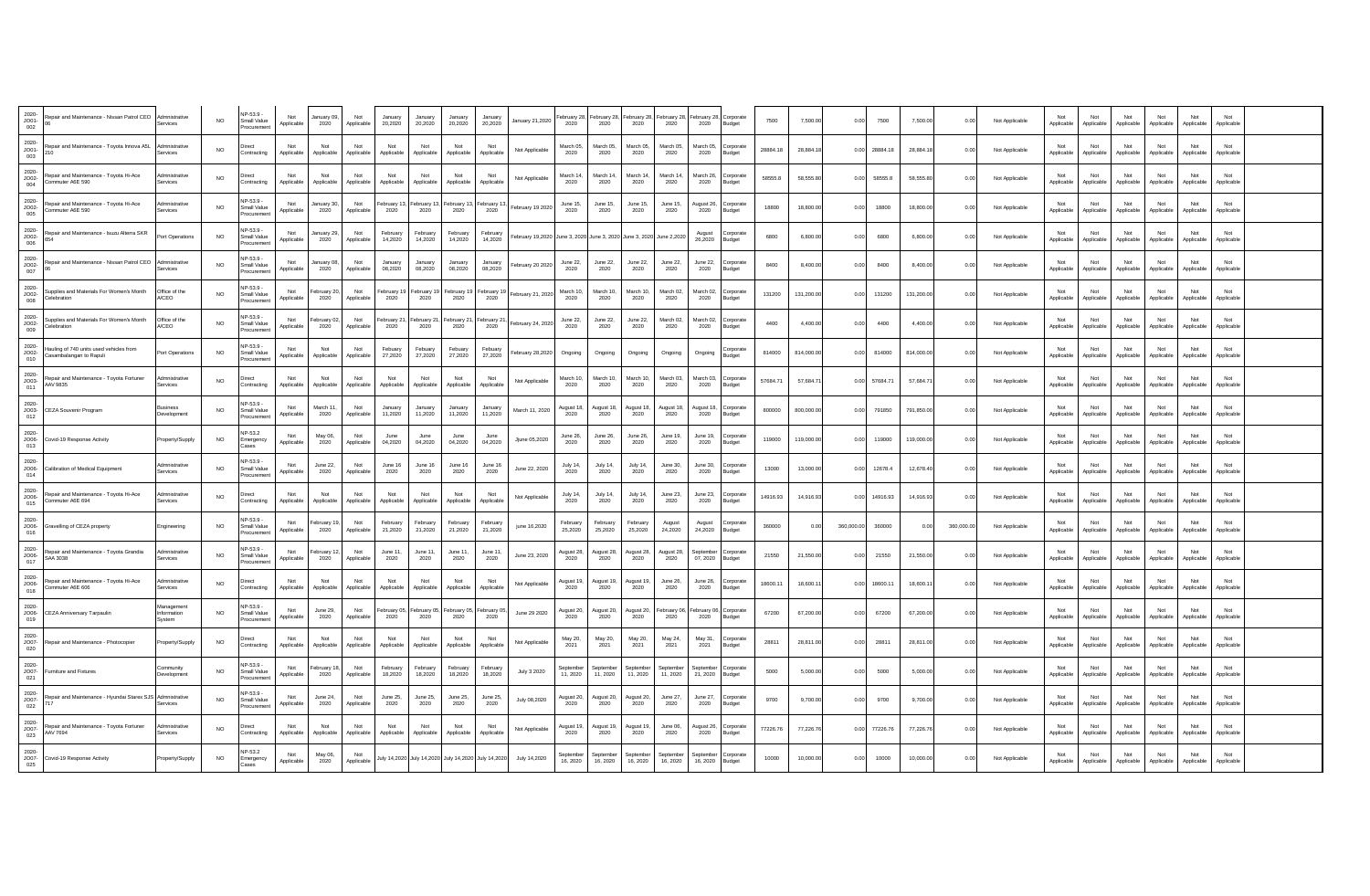| 2020-<br>JO01-<br>002    | Repair and Maintenance - Nissan Patrol CEO<br>06                   | Admnistrative<br>Services           | <b>NO</b> | NP-53.9 -<br>Small Value<br>rocuremer  | Not<br>Applicable | lanuary 09,<br>2020  | Not<br>Applicable | January<br>20,2020  | 20 20 20            | 20 20 20                                            | 20.2020             | January 21,2020                                                    | bruary 28<br>2020       | ebruary 28<br>2020      | ebruary 28,<br>2020   | ebruary 2<br>2020    | ebruary 28.<br>2020  | Corporate<br>Budget        | 7500     | 7,500.00   | 0.00       | 7500     | 7,500.00   | 0.00       | Not Applicable | Not<br>Applicable | Not<br>Applicable | Not<br>Applicable | Not<br>Applicable | Not<br>Applicable | Not<br>Applicable |  |
|--------------------------|--------------------------------------------------------------------|-------------------------------------|-----------|----------------------------------------|-------------------|----------------------|-------------------|---------------------|---------------------|-----------------------------------------------------|---------------------|--------------------------------------------------------------------|-------------------------|-------------------------|-----------------------|----------------------|----------------------|----------------------------|----------|------------|------------|----------|------------|------------|----------------|-------------------|-------------------|-------------------|-------------------|-------------------|-------------------|--|
| 2020-<br>$JO01-$<br>003  | Repair and Maintenance - Toyota Innova A5L<br>210                  | dmnistrativ<br>ervices              | NO.       | Contracting                            | Not<br>Applicable | Not<br>Applicable    | Not<br>Applicable | Not<br>Applicable   | Not<br>Applicable   | Not<br>Applicable                                   | Not<br>Applicable   | Not Applicable                                                     | March 05,<br>2020       | March 05,<br>2020       | March 05,<br>2020     | March 05<br>2020     | March 05<br>2020     | orporate<br>Budget         | 28884.18 | 28,884.1   | 0.00       | 28884.18 | 28,884.18  | 0.00       | Not Applicable | Applicable        | Not<br>Applicable | Not<br>Applicable | Not<br>Applicable | Not<br>Applicable | Not<br>Applicable |  |
| $2020 -$<br>JO02-<br>004 | Repair and Maintenance - Toyota Hi-Ace<br>Commuter A6E 590         | dmnistrative<br>ervices             | NO.       | Direct<br>Contracting                  | Not<br>Applicable | Not<br>Applicable    | Not<br>Applicable | Not<br>Applicable   | Not<br>Applicable   | Not<br>Applicable                                   | Not<br>Applicable   | Not Applicable                                                     | March 14.<br>2020       | March 14<br>2020        | March 14,<br>2020     | March 14<br>2020     | March 26<br>2020     | orporate<br>Budget         | 58555.8  | 58,555.80  | 0.00       | 58555.8  | 58,555.80  | 0.00       | Not Applicable | Not<br>Applicable | Not<br>Applicable | Not<br>Applicable | Not<br>Applicable | Not<br>Applicable | Not<br>Applicable |  |
| 2020-<br>JO02-<br>005    | Repair and Maintenance - Toyota Hi-Ace<br>Commuter A6E 590         | dmnistrative<br>ervices             | <b>NO</b> | NP-53.9<br>Small Value<br>rocuremen    | Not<br>Applicable | anuary 30<br>2020    | Not<br>Applicable | ebruary *<br>2020   | February 13<br>2020 | ebruary 13<br>2020                                  | February 1<br>2020  | ebruary 19 2020                                                    | June 15<br>2020         | June 15<br>2020         | June 15,<br>2020      | June 15<br>2020      | August 26<br>2020    | orporate<br>udget          | 18800    | 18,800.00  | 0.00       | 18800    | 18,800.00  | 0.00       | Not Applicable | Not<br>Applicable | Not<br>Applicable | Not<br>Applicable | Not<br>Applicable | Not<br>Applicable | Not<br>Applicable |  |
| 2020-<br>$JO02-$<br>006  | Repair and Maintenance - Isuzu Alterra SKR<br>654                  | Port Operations                     | <b>NO</b> | NP-53.9 -<br>Small Value<br>Procuremen | Not<br>Applicable | January 29,<br>2020  | Not<br>Applicable | February<br>14,2020 | February<br>14.2020 | February<br>14,2020                                 | February<br>14 2020 | ebruary 19,2020 June 3, 2020 June 3, 2020 June 3, 2020 June 2,2020 |                         |                         |                       |                      | August<br>26,2020    | orporate<br><b>Budget</b>  | 6800     | 6,800.00   | 0.00       | 6800     | 6,800.00   | 0.00       | Not Applicable | Not<br>Applicable | Not<br>Applicable | Not<br>Applicable | Not<br>Applicable | Not<br>Applicable | Not<br>Applicable |  |
| 2020-<br>JO02-<br>007    | Repair and Maintenance - Nissan Patrol CEO<br>06                   | Admnistrative<br>nvices             | <b>NO</b> | NP-53.9<br>Small Value<br>ocuremer     | Not<br>Applicable | lanuary 08<br>2020   | Not<br>Applicable | January<br>08,2020  | January<br>08,2020  | 08.2020                                             | 08.2020             | ebruary 20 2020                                                    | June 22,<br>2020        | June 22,<br>2020        | June 22,<br>2020      | June 22,<br>2020     | June 22,<br>2020     | orporate<br><b>Budget</b>  | 8400     | 8,400.00   | 0.00       | 8400     | 8,400.00   | 0.00       | Not Applicable | Applicable        | Not<br>Applicable | Not<br>Applicable | Not<br>Applicable | Not<br>Applicable | Not<br>Applicable |  |
| 2020-<br>JO02-<br>008    | Supplies and Materials For Women's Month<br>Celebration            | Office of the<br>A/CEO              | NO.       | P-53.9<br>Small Value<br>Procuremer    | Not<br>Applicable | ebruary 20<br>2020   | Not<br>Applicable | ebruary 1<br>2020   | ebruary 1<br>2020   | ebruary 19<br>2020                                  | February 1<br>2020  | February 21, 2020                                                  | March 10,<br>2020       | March 10,<br>2020       | March 10,<br>2020     | March 02.<br>2020    | March 02<br>2020     | orporate<br>Budget         | 131200   | 131,200.00 | 0.00       | 131200   | 131,200.00 | 0.00       | Not Applicable | Not<br>Applicable | Not<br>Applicable | Not<br>Applicable | Not<br>Applicable | Not<br>Applicable | Not<br>Applicable |  |
| 2020-<br>JO02-<br>009    | Supplies and Materials For Women's Month<br>Celebration            | Office of the<br>A/CEO              | <b>NO</b> | NP-53.9<br>Small Value<br>rocuremer    | Not<br>Applicable | ebruary 02<br>2020   | Not<br>Applicable | ebruary 2<br>2020   | ebruary 2<br>2020   | ebruary 2<br>2020                                   | February 2<br>2020  | ebruary 24, 2020                                                   | June 22,<br>2020        | June 22,<br>2020        | June 22,<br>2020      | March 02.<br>2020    | March 02<br>2020     | Corporate<br><b>Budget</b> | 4400     | 4,400.00   | 0.00       | 4400     | 4,400.00   | 0.00       | Not Applicable | Not<br>Applicable | Not<br>Applicable | Not<br>Applicable | Not<br>Applicable | Not<br>Applicable | Not<br>Applicable |  |
| 2020-<br>JO02-<br>010    | Hauling of 740 units used vehicles from<br>Casambalangan to Rapuli | Port Operations                     | NO.       | NP-53.9 -<br>Small Value<br>Procuremen | Not<br>Applicable | Not<br>Applicable    | Not<br>Applicable | Febuary<br>27,2020  | Febuary<br>27,2020  | Febuary<br>27,2020                                  | Febuary<br>27,2020  | ebruary 28,2020                                                    | Ongoing                 | Ongoing                 | Ongoing               | Ongoing              | Ongoing              | orporate<br><b>Budget</b>  | 814000   | 814,000.00 | 0.00       | 814000   | 814,000.00 | 0.00       | Not Applicable | Not<br>Applicable | Not<br>Applicable | Not<br>Applicable | Not<br>Applicable | Not<br>Applicable | Not<br>Applicable |  |
| 2020-<br>$JO03-$<br>011  | Repair and Maintenance - Toyota Fortuner<br>AAV 9835               | dmnistrative<br>Services            | <b>NO</b> | Direct<br>Contracting                  | Not<br>Applicable | Not<br>Applicable    | Not<br>Applicable | Not<br>Applicable   | Not<br>Applicable   | Not<br>Applicable                                   | Not<br>Applicable   | Not Applicable                                                     | March 10<br>2020        | March 10<br>2020        | March 10.<br>2020     | March 03<br>2020     | March 03<br>2020     | orporate<br><b>Budget</b>  | 57684.71 | 57,684.7   | 0.00       | 57684.71 | 57,684.7   | 0.00       | Not Applicable | Not<br>Applicable | Not<br>Applicable | Not<br>Applicable | Not<br>Applicable | Not<br>Applicable | Not<br>Applicable |  |
| 2020-<br>012             | JO03- CEZA Souvenir Program                                        | usiness<br>Development              | <b>NO</b> | VP-53.9 -<br>Small Value<br>Procuremen | Not<br>Applicable | March 11,<br>2020    | Not<br>Applicable | January<br>11.2020  | January<br>11.2020  | January<br>11,2020                                  | January<br>11 2020  | March 11, 2020                                                     | August 18,<br>2020      | August 18,<br>2020      | August 18,<br>2020    | August 18,<br>2020   | August 18<br>2020    | orporate<br>Budget         | 800000   | 800,000.00 | 0.00       | 791850   | 791,850.00 | 0.00       | Not Applicable | Not<br>Applicable | Not<br>Applicable | Not<br>Applicable | Not<br>Applicable | Not<br>Applicable | Not<br>Applicable |  |
| 2020-<br>013             | JO06- Covid-19 Response Activity                                   | Property/Supply                     | <b>NO</b> | NP-53.2<br>Emergency<br>ases           | Not<br>Applicable | May 06,<br>2020      | Not<br>Applicable | June<br>04,2020     | June<br>04,2020     | 04,2020                                             | 04,2020             | Jjune 05,2020                                                      | June 26,<br>2020        | June 26,<br>2020        | June 26,<br>2020      | June 19,<br>2020     | June 19<br>2020      | orporate<br>udget          | 119000   | 119,000.00 | 0.00       | 119000   | 119,000.00 | 0.00       | Not Applicable | Not<br>Applicable | Not<br>Applicable | Not<br>Applicable | Not<br>Applicable | Not<br>Applicable | Not<br>Applicable |  |
| 2020-<br>014             | JO06- Calibration of Medical Equipment                             | dmnistrative<br>Services            | NO.       | NP-53.9 -<br>Small Value<br>rocuremen  | Not<br>Applicable | June 22,<br>2020     | Not<br>Applicable | June 16<br>2020     | June 16<br>2020     | June 16<br>2020                                     | June 16<br>2020     | June 22, 2020                                                      | <b>July 14,</b><br>2020 | <b>July 14,</b><br>2020 | July 14,<br>2020      | June 30,<br>2020     | June 30,<br>2020     | orporate<br>Budget         | 13000    | 13,000.00  | 0.00       | 12678.4  | 12,678.40  | 0.00       | Not Applicable | Not<br>Applicable | Not<br>Applicable | Not<br>Applicable | Not<br>Applicable | Not<br>Applicable | Not<br>Applicable |  |
| 2020-<br>JO06-<br>015    | Repair and Maintenance - Toyota Hi-Ace<br>Commuter A6E 694         | dmnistrativ<br>ervices              | NO.       | Contracting                            | Not<br>Applicable | Not<br>Applicable    | Not<br>Applicable | Not<br>Applicable   | Not<br>Applicable   | Not<br>Applicable                                   | Not<br>Applicable   | Not Applicable                                                     | July 14,<br>2020        | <b>July 14,</b><br>2020 | July 14,<br>2020      | June 23<br>2020      | June 23<br>2020      | orporate<br><b>Budget</b>  | 14916.93 | 14,916.93  | 0.00       | 14916.93 | 14,916.93  | 0.00       | Not Applicable | Applicable        | Not<br>Applicable | Not<br>Applicable | Not<br>Applicable | Not<br>Applicable | Not<br>Applicable |  |
| 2020-<br>016             | JO06- Gravelling of CEZA property                                  | Engineering                         | NO.       | P-53.9<br>Small Value<br>Procuremen    | Not<br>Applicable | February 19,<br>2020 | Not<br>Applicable | February<br>21,2020 | February<br>21.2020 | February<br>21,2020                                 | Februan<br>21,2020  | june 16,2020                                                       | February<br>25,2020     | February<br>25,2020     | February<br>25,2020   | August<br>24,2020    | August<br>24,2020    | orporate<br>Budget         | 360000   | 0.00       | 360,000.00 | 360000   | 0.00       | 360,000.00 | Not Applicable | Not<br>Applicable | Not<br>Applicable | Not<br>Applicable | Not<br>Applicable | Not<br>Applicable | Not<br>Applicable |  |
| 2020-<br>JO06-<br>017    | Repair and Maintenance - Toyota Grandia<br>SAA 3038                | dmnistrative<br>ervices             | <b>NO</b> | NP-53.9<br>Small Value<br>rocuremen    | Not<br>Applicable | ebruary 12<br>2020   | Not<br>Applicable | June 11<br>2020     | June 11.<br>2020    | June 11.<br>2020                                    | June 11.<br>2020    | June 23, 2020                                                      | August 28,<br>2020      | August 28,<br>2020      | August 28,<br>2020    | August 28,<br>2020   | Septembe<br>07, 2020 | orporate<br><b>Budget</b>  | 21550    | 21,550.00  | 0.00       | 21550    | 21,550.00  | 0.00       | Not Applicable | Not<br>Applicable | Not<br>Applicable | Not<br>Applicable | Not<br>Applicable | Not<br>Applicable | Not<br>Applicable |  |
| 2020-<br>JO06-<br>018    | Repair and Maintenance - Toyota Hi-Ace<br>Commuter A6E 606         | dmnistrative<br>Services            | NO.       | Direct<br>Contracting                  | Not<br>Applicable | Not<br>Applicable    | Not<br>Applicable | Not<br>Applicable   | Not<br>Applicable   | Not<br>Applicable                                   | Not<br>Applicable   | Not Applicable                                                     | August 19,<br>2020      | August 19,<br>2020      | August 19,<br>2020    | June 26,<br>2020     | June 26,<br>2020     | orporate<br>Budget         | 18600.11 | 18,600.1   | 0.00       | 18600.11 | 18,600.11  | 0.00       | Not Applicable | Not<br>Applicable | Not<br>Applicable | Not<br>Applicable | Not<br>Applicable | Not<br>Applicable | Not<br>Applicable |  |
| 2020-<br>019             | JO06- CEZA Anniversary Tarpaulin                                   | Management<br>Information<br>system | NO.       | NP-53.9<br>Small Value<br>ocuremen     | Not<br>Applicable | June 29,<br>2020     | Not<br>Applicable | ebruary 0<br>2020   | February 05<br>2020 | ebruary 05<br>2020                                  | February 0<br>2020  | June 29 2020                                                       | August 20,<br>2020      | August 20,<br>2020      | August 20,<br>2020    | ebruary 06<br>2020   | February 06,<br>2020 | Corporate<br>Budget        | 67200    | 67,200.00  | 0.00       | 67200    | 67,200.00  | 0.00       | Not Applicable | Not<br>Applicable | Not<br>Applicable | Not<br>Applicable | Not<br>Applicable | Not<br>Applicable | Not<br>Applicable |  |
| 2020-<br>JO07-<br>020    | Repair and Maintenance - Photocopie                                | Property/Supply                     | <b>NO</b> | Contracting                            | Not<br>Applicable | Not<br>Applicable    | Not<br>Applicable | Not<br>Applicable   | Not<br>Applicable   | Not<br>Applicable                                   | Not<br>Applicable   | Not Applicable                                                     | May 20,<br>2021         | May 20,<br>2021         | May 20,<br>2021       | May 24,<br>2021      | May 31,<br>2021      | Corporate<br>Budget        | 28811    | 28,811.00  | 0.00       | 28811    | 28,811.00  | 0.00       | Not Applicable | Not<br>Applicable | Not<br>Applicable | Not<br>Applicable | Not<br>Applicable | Not<br>Applicable | Not<br>Applicable |  |
| 2020-<br>$JO07-$<br>021  | Furniture and Fixtures                                             | Community<br>Development            | <b>NO</b> | NP-53 9<br>Small Value<br>rocuremen    | Not<br>Applicable | ebruary 1<br>2020    | Not<br>Applicable | February<br>18,2020 | February<br>18,2020 | February<br>18,2020                                 | 18,2020             | July 3 2020                                                        | ptembe<br>11, 2020      | 11, 2020                | September<br>11, 2020 | 11.2020              | eptembe<br>21, 2020  | orporate<br>udget          | 5000     | 5,000.00   | 0.00       | 5000     | 5,000.00   | 0.00       | Not Applicable | Not<br>Applicable | Not<br>Applicable | Not<br>Applicable | Not<br>Applicable | Not<br>Applicable | Not<br>Applicable |  |
| 2020-<br>JO07-<br>022    | Repair and Maintenance - Hyundai Starex SJS<br>717                 | Admnistrative<br>Services           | NO.       | NP-53.9 -<br>Small Value<br>Procuremen | Not<br>Applicable | June 24,<br>2020     | Not<br>Applicable | June 25,<br>2020    | June 25,<br>2020    | June 25,<br>2020                                    | June 25,<br>2020    | July 08,2020                                                       | August 20,<br>2020      | August 20,<br>2020      | August 20,<br>2020    | June 27,<br>2020     | June 27,<br>2020     | orporate<br>Budget         | 9700     | 9,700.00   | 0.00       | 9700     | 9,700.00   | 0.00       | Not Applicable | Not<br>Applicable | Not<br>Applicable | Not<br>Applicable | Not<br>Applicable | Not<br>Applicable | Not<br>Applicable |  |
| 2020-<br>JO07-<br>023    | Repair and Maintenance - Toyota Fortuner<br>AAV 7694               | dmnistrative<br>nvices              | <b>NO</b> | Direct<br>Contracting                  | Not<br>Applicable | Not<br>Applicable    | Not<br>Applicable | Not<br>Applicable   | Not<br>Applicable   | Not<br>Applicable                                   | Not<br>Applicable   | Not Applicable                                                     | August 19,<br>2020      | August 19<br>2020       | August 19,<br>2020    | June 06<br>2020      | August 26<br>2020    | orporate<br><b>Budget</b>  | 77226.76 | 77,226.76  | 0.00       | 77226.76 | 77,226.76  | 0.00       | Not Applicable | Applicable        | Not<br>Applicable | Not<br>Applicable | Not<br>Applicable | Not<br>Applicable | Not<br>Applicable |  |
| 2020-<br>025             | JO07- Covid-19 Response Activity                                   | Property/Supply                     | <b>NO</b> | NP-53.2<br>Emergency<br>Cases          | Not<br>Applicable | May 06,<br>2020      | Not<br>Applicable |                     |                     | July 14,2020 July 14,2020 July 14,2020 July 14,2020 |                     | July 14,2020                                                       | eptember<br>16, 2020    | Septembe<br>16, 2020    | September<br>16, 2020 | Septembe<br>16, 2020 | Septembe<br>16, 2020 | orporate<br>Budget         | 10000    | 10,000.00  | 0.00       | 10000    | 10,000.00  | 0.00       | Not Applicable | Not<br>Applicable | Not<br>Applicable | Not<br>Applicable | Not<br>Applicable | Not<br>Applicable | Not<br>Applicable |  |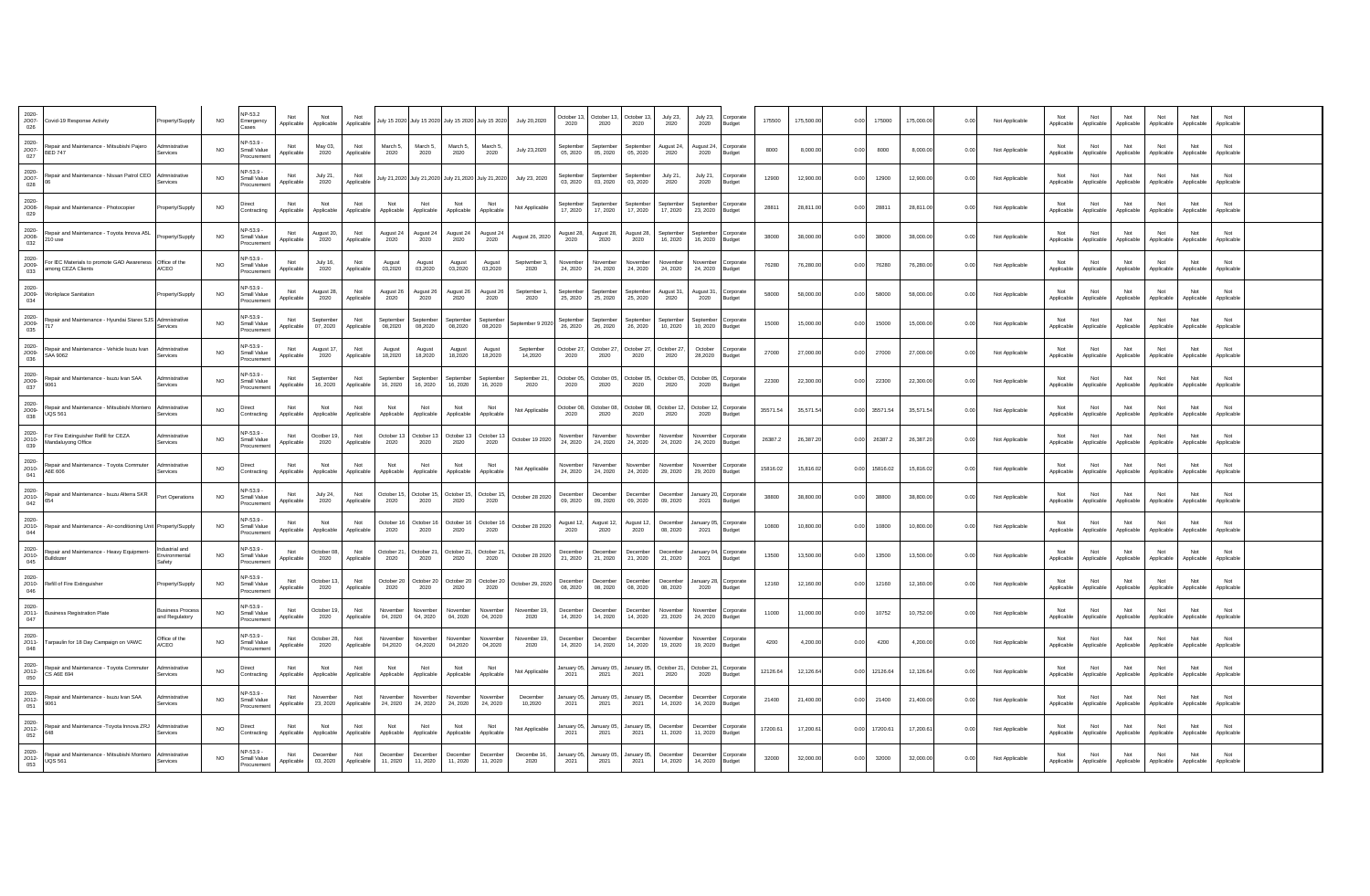| 2020-<br>JO07-<br>026       | Covid-19 Response Activity                                       | Property/Supply                       | <b>NO</b> | NP-53.2<br>Emergency                           | Not<br>Applicable | Not<br>Applicable     | Not<br>Applicable |                      |                           | July 15 2020 July 15 2020 July 15 2020 July 15 2020 |                       | July 20,2020         | October 13<br>2020    | October 13.<br>2020   | October 13<br>2020    | July 23,<br>2020     | July 23,<br>2020              | Corporate<br>Budget | 175500   | 175,500.00 | 0.00 | 175000   | 175,000.00 | 0.00 | Not Applicable | Not<br>Applicable | Not<br>Applicable | Not<br>Applicable | Not<br>Applicable | Not<br>Applicable | Not<br>Applicable |  |
|-----------------------------|------------------------------------------------------------------|---------------------------------------|-----------|------------------------------------------------|-------------------|-----------------------|-------------------|----------------------|---------------------------|-----------------------------------------------------|-----------------------|----------------------|-----------------------|-----------------------|-----------------------|----------------------|-------------------------------|---------------------|----------|------------|------|----------|------------|------|----------------|-------------------|-------------------|-------------------|-------------------|-------------------|-------------------|--|
| 2020-<br>JO07-<br>027       | Repair and Maintenance - Mitsubishi Paiero<br><b>BED 747</b>     | Admnistrative<br>Services             | <b>NO</b> | NP-53.9<br>Small Value<br>rocuremer            | Not<br>Applicable | May 03,<br>2020       | Not<br>Applicable | March 5<br>2020      | March 5<br>2020           | March 5<br>2020                                     | March 5<br>2020       | July 23,2020         | Sentembe<br>05.2020   | Sentember<br>05.2020  | September<br>05.2020  | August 24<br>2020    | August 24<br>2020             | Corporate<br>Budget | 8000     | 8.000.0    | 0.00 | 8000     | 8,000.00   | 0.00 | Not Applicable | Not<br>Applicable | Not<br>Applicable | Not<br>Applicable | Not<br>Applicable | Not<br>Applicable | Not<br>Applicable |  |
| 2020-<br>$JO07-$<br>028     | Repair and Maintenance - Nissan Patrol CEO                       | Admnistrative<br>Services             | NO.       | <b>NP-53.9 -</b><br>Small Value                | Not<br>Applicable | July 21,<br>2020      | Not<br>Applicable |                      | July 21,2020 July 21,2020 | July 21,2020 July 21,2020                           |                       | July 23, 2020        | Septembe<br>03, 2020  | September<br>03, 2020 | September<br>03.2020  | July 21.<br>2020     | July 21.<br>2020              | Corporate<br>Budget | 12900    | 12,900.00  | 0.00 | 12900    | 12,900.00  | 0.00 | Not Applicable | Not<br>Applicable | Not<br>Applicable | Not<br>Applicable | Not<br>Applicable | Not<br>Applicable | Not<br>Applicable |  |
| $2020 -$<br>$JO08-$<br>029  | Repair and Maintenance - Photocopier                             | Property/Supply                       | <b>NO</b> | Direct<br>Contracting                          | Not<br>Applicable | Not<br>Applicable     | Not<br>Applicable | Not<br>Applicable    | Not<br>Applicable         | Not<br>Applicable                                   | Not<br>Applicable     | Not Applicable       | Sentembe<br>17, 2020  | Sentember<br>17, 2020 | Sentember<br>17, 2020 | Sentembe<br>17, 2020 | Sentember<br>23, 2020         | Corporate<br>Budget | 28811    | 28,811.00  | 0.00 | 28811    | 28,811.00  | 0.00 | Not Applicable | Not<br>Applicable | Not<br>Applicable | Not<br>Applicable | Not<br>Applicable | Not<br>Applicable | Not<br>Applicable |  |
| 2020-<br>$JO08-$<br>032     | Repair and Maintenance - Toyota Innova A5L<br>210 use            | Property/Supply                       | <b>NO</b> | <b>NP-53.9 -</b><br>Small Value<br>rocuremer   | Not<br>Applicable | August 20,<br>2020    | Not<br>Applicable | August 24<br>2020    | August 24<br>2020         | August 24<br>2020                                   | August 24<br>2020     | August 26, 2020      | August 28,<br>2020    | August 28,<br>2020    | August 28,<br>2020    | Septembe<br>16, 2020 | Sentember<br>16, 2020         | Corporate<br>Budget | 38000    | 38,000.00  | 0.00 | 38000    | 38,000.00  | 0.00 | Not Applicable | Not<br>Applicable | Not<br>Applicable | Not<br>Applicable | Not<br>Applicable | Not<br>Applicable | Not<br>Applicable |  |
| 2020-<br>JO09-<br>033       | For IEC Materials to promote GAD Awareness<br>among CEZA Clients | Office of the<br>A/CEO                | <b>NO</b> | NP-53.9<br>Small Value                         | Not<br>Applicable | July 16,<br>2020      | Not<br>Applicable | August<br>03,2020    | August<br>03.2020         | August<br>03.2020                                   | August<br>03.2020     | Septwmber 3.<br>2020 | November<br>24, 2020  | November<br>24, 2020  | November<br>24, 2020  | Novembe<br>24, 2020  | Novembe<br>24, 2020           | Corporate<br>Budget | 76280    | 76,280.00  | 0.00 | 76280    | 76,280.00  | 0.00 | Not Applicable | Not<br>Applicable | Not<br>Applicable | Not<br>Applicable | Not<br>Applicable | Not<br>Applicable | Not<br>Applicable |  |
| 2020-<br>$JO09-$<br>034     | Workplace Sanitation                                             | Property/Supply                       | <b>NO</b> | IP-53.9 -<br>Small Value<br>rocuremer          | Not<br>Applicable | August 28,<br>2020    | Not<br>Applicable | August 26<br>2020    | August 26<br>2020         | August 26<br>2020                                   | August 26<br>2020     | September 1<br>2020  | Sentembe<br>25, 2020  | Sentember<br>25, 2020 | September<br>25, 2020 | August 31<br>2020    | August 31,<br>2020            | Corporate<br>Budget | 58000    | 58,000.00  | 0.00 | 58000    | 58,000.00  | 0.00 | Not Applicable | Not<br>Applicable | Not<br>Applicable | Not<br>Applicable | Not<br>Applicable | Not<br>Applicable | Not<br>Applicable |  |
| 2020-<br>$JO09-$<br>035     | Repair and Maintenance - Hyundai Starex SJS Admnistrative        | Services                              | <b>NO</b> | NP-53.9 -<br>Small Value<br>Procuremen         | Not<br>Applicable | September<br>07, 2020 | Not<br>Applicable | Septembe<br>08,2020  | Septembe<br>08,2020       | eptember<br>08,2020                                 | September<br>08,2020  | eptember 9 2020      | September<br>26, 2020 | Sentember<br>26, 2020 | September<br>26, 2020 | eptembe<br>10, 2020  | <b>Sentembe</b><br>10.2020    | Corporate<br>Budget | 15000    | 15,000.00  | 0.00 | 15000    | 15,000.00  | 0.00 | Not Applicable | Not<br>Applicable | Not<br>Applicable | Not<br>Applicable | Not<br>Applicable | Not<br>Applicable | Not<br>Applicable |  |
| 2020-<br>$JO09-$<br>036     | Repair and Maintenance - Vehicle Isuzu Ivan<br>SAA 9062          | Admnistrative<br>Services             | <b>NO</b> | NP-53.9 -<br>Small Value<br>rocuremen          | Not<br>Applicable | August 17,<br>2020    | Not<br>Applicable | August<br>18,2020    | August<br>18,2020         | August<br>18,2020                                   | August<br>18,2020     | Sentember<br>14,2020 | October 27<br>2020    | October 27<br>2020    | October 27<br>2020    | October 27<br>2020   | October<br>28,2020            | Corporate<br>Budget | 27000    | 27,000.00  | 0.00 | 27000    | 27,000.00  | 0.00 | Not Applicable | Not<br>Applicable | Not<br>Applicable | Not<br>Applicable | Not<br>Applicable | Not<br>Applicable | Not<br>Applicable |  |
| 2020-<br>$JO09-$<br>037     | Repair and Maintenance - Isuzu Ivan SAA<br>9061                  | Admnistrative<br>Services             | <b>NO</b> | NP-53.9 -<br>Small Value<br>rocuremer          | Not<br>Applicable | Sentember<br>16, 2020 | Not<br>Applicable | Sentembe<br>16, 2020 | Sentembe<br>16, 2020      | <b>ientember</b><br>16, 2020                        | Sentember<br>16, 2020 | Sentember 21<br>2020 | October 05<br>2020    | October 05<br>2020    | October 05<br>2020    | October 05<br>2020   | October 05<br>2020            | Corporate<br>Budget | 22300    | 22,300.00  | 0.00 | 22300    | 22,300.00  | 0.00 | Not Applicable | Not<br>Applicable | Not<br>Applicable | Not<br>Applicable | Not<br>Applicable | Not<br>Applicable | Not<br>Applicable |  |
| 2020-<br>$JO09-$<br>038     | Repair and Maintenance - Mitsubishi Montero<br><b>UOS 561</b>    | Admnistrative<br>Services             | NO.       | Direct<br>Contracting                          | Not<br>Applicable | Not<br>Applicable     | Not<br>Applicable | Not<br>Applicable    | Not<br>Applicable         | Not<br>Applicable                                   | Not<br>Applicable     | Not Applicable       | October 08<br>2020    | October 08<br>2020    | October 08<br>2020    | October 1:<br>2020   | October 12, Corporate<br>2020 | Budget              | 35571.54 | 35,571.54  | 0.00 | 35571.54 | 35,571.54  | 0.00 | Not Applicable | Not<br>Applicable | Not<br>Applicable | Not<br>Applicable | Not<br>Applicable | Not<br>Applicable | Not<br>Applicable |  |
| 2020-<br>$JO10-$<br>039     | For Fire Extinguisher Refill for CEZA<br>Mandaluyong Office      | Admnistrative<br>Services             | <b>NO</b> | NP-53.9<br>Small Value<br>Procuremen           | Not<br>Applicable | Ocother 19<br>2020    | Not<br>Applicable | October 13<br>2020   | October 13<br>2020        | October 13<br>2020                                  | October 13<br>2020    | October 19 2020      | November<br>24, 2020  | November<br>24, 2020  | November<br>24, 2020  | Novembe<br>24, 2020  | November<br>24, 2020          | Corporate<br>Budget | 26387.2  | 26,387.20  | 0.00 | 26387.2  | 26,387.20  | 0.00 | Not Applicable | Not<br>Applicable | Not<br>Applicable | Not<br>Applicable | Not<br>Applicable | Not<br>Applicable | Not<br>Applicable |  |
| 2020-<br>$\frac{1010}{041}$ | Repair and Maintenance - Toyota Commuter<br>A6E 606              | Admnistrative<br>Services             | <b>NO</b> | Direct<br>Contracting                          | Not<br>Applicable | Not<br>Applicable     | Not<br>Applicable | Not<br>Applicable    | Not<br>Applicable         | Not<br>Applicable                                   | Not<br>Applicable     | Not Applicable       | Novembe<br>24, 2020   | November<br>24, 2020  | November<br>24, 2020  | Novembe<br>29, 2020  | November<br>29, 2020          | Corporate<br>Budget | 15816.02 | 15,816.02  | 0.00 | 15816.02 | 15,816.02  | 0.00 | Not Applicable | Not<br>Applicable | Not<br>Applicable | Not<br>Applicable | Not<br>Applicable | Not<br>Applicable | Not<br>Applicable |  |
| 2020-<br>$\frac{1010}{042}$ | Repair and Maintenance - Isuzu Alterra SKR<br>654                | ort Operations                        | <b>NO</b> | NP-53.9<br>Small Value                         | Not<br>Applicable | July 24,<br>2020      | Not<br>Applicable | October 1<br>2020    | October 1<br>2020         | Ictober 15<br>2020                                  | October 15.<br>2020   | October 28 2020      | December<br>09, 2020  | December<br>09.2020   | December<br>09.2020   | Decembe<br>09.2020   | anuary 20<br>2021             | Corporate<br>Budget | 38800    | 38,800.00  | 0.00 | 38800    | 38,800.00  | 0.00 | Not Applicable | Not<br>Applicable | Not<br>Applicable | Not<br>Applicable | Not<br>Applicable | Not<br>Applicable | Not<br>Applicable |  |
| $2020 -$<br>$JO10-$<br>044  | Repair and Maintenance - Air-conditioning Unit Property/Supply   |                                       | <b>NO</b> | NP-53.9<br>Small Value<br>rocuremer            | Not<br>Applicable | Not<br>Applicable     | Not<br>Applicable | October 16<br>2020   | October 16<br>2020        | October 16<br>2020                                  | October 16<br>2020    | October 28 2020      | August 12<br>2020     | August 12.<br>2020    | August 12,<br>2020    | Decembe<br>08, 2020  | lanuary 05.<br>2021           | Corporate<br>Budget | 10800    | 10,800.00  | 0.00 | 10800    | 10,800.00  | 0.00 | Not Applicable | Not<br>Applicable | Not<br>Applicable | Not<br>Applicable | Not<br>Applicable | Not<br>Applicable | Not<br>Applicable |  |
| 2020-<br>$JO10-$<br>045     | Repair and Maintenance - Heavy Equipment<br>Bulldozer            | dustrial and<br>vironmental<br>Safety | NO.       | NP-53.9 -<br>Small Value<br>Procuremer         | Not<br>Applicable | October 08<br>2020    | Not<br>Applicable | October 21<br>2020   | October 21<br>2020        | October 21<br>2020                                  | October 21<br>2020    | October 28 2020      | December<br>21, 2020  | December<br>21 2020   | December<br>21.2020   | Decembe<br>21, 2020  | lanuary 04. Corporate<br>2021 | Budget              | 13500    | 13,500.00  | 0.00 | 13500    | 13,500.00  | 0.00 | Not Applicable | Not<br>Applicable | Not<br>Applicable | Not<br>Applicable | Not<br>Applicable | Not<br>Applicable | Not<br>Applicable |  |
| 2020-<br>$JO10-$<br>046     | Refill of Fire Extinguisher                                      | Property/Supply                       | <b>NO</b> | <b>NP-53.9 -</b><br>Small Value<br>rocuremen   | Not<br>Applicable | October 13<br>2020    | Not<br>Applicable | October 20<br>2020   | October 20<br>2020        | October 20<br>2020                                  | October 20<br>2020    | October 29, 2020     | December<br>08 2020   | December<br>08.2020   | December<br>08.2020   | Decembe<br>08.2020   | January 28.<br>2020           | Corporate<br>Budget | 12160    | 12,160.00  | 0.00 | 12160    | 12,160.00  | 0.00 | Not Applicable | Not<br>Applicable | Not<br>Applicable | Not<br>Applicable | Not<br>Applicable | Not<br>Applicable | Not<br>Applicable |  |
| 2020-<br>$\frac{1011}{047}$ | <b>Business Registration Plate</b>                               | usiness Proces<br>and Regulatory      | <b>NO</b> | NP-53.9 -<br>Small Value<br>rocuremer          | Not<br>Applicable | October 19<br>2020    | Not<br>Applicable | Novembe<br>04, 2020  | Novembe<br>04, 2020       | November<br>04, 2020                                | November<br>04.2020   | November 19.<br>2020 | December<br>14, 2020  | December<br>14, 2020  | December<br>14, 2020  | Novembe<br>23, 2020  | November<br>24, 2020          | Corporate<br>Budget | 11000    | 11,000.00  | 0.00 | 10752    | 10,752.00  | 0.00 | Not Applicable | Not<br>Applicable | Not<br>Applicable | Not<br>Applicable | Not<br>Applicable | Not<br>Applicable | Not<br>Applicable |  |
| 2020-<br>$JO11-$<br>048     | Tarpaulin for 18 Day Campaign on VAWC                            | Office of the<br>VCEO                 | <b>NO</b> | IP-53.9<br>Small Value<br>rocuremer            | Not<br>Applicable | October 28<br>2020    | Not<br>Applicable | Novembe<br>04,2020   | Novembe<br>04,2020        | Jovember<br>04,2020                                 | November<br>04,2020   | November 19,<br>2020 | Decembe<br>14, 2020   | December<br>14, 2020  | December<br>14, 2020  | Novembe<br>19, 2020  | Novembe<br>19, 2020 Budget    | orporate            | 4200     | 4.200.0    | 0.00 | 4200     | 4,200.00   | 0.00 | Not Applicable | Not<br>Applicable | Not<br>Applicable | Not<br>Applicable | Not<br>Applicable | Not<br>Applicable | Not<br>Applicable |  |
| 2020-<br>$JO12-$<br>050     | Repair and Maintenance - Toyota Commuter<br>CS A6E 694           | Admnistrative<br>Services             | <b>NO</b> | Direct<br>Contracting                          | Not<br>Applicable | Not<br>Applicable     | Not<br>Applicable | Not<br>Applicable    | Not<br>Applicable         | Not<br>Applicable                                   | Not<br>Applicable     | Not Applicable       | January 05<br>2021    | January 05.<br>2021   | anuary 05,<br>2021    | October 21<br>2020   | October 21.<br>2020           | Corporate<br>Budget | 12126.64 | 12,126.64  | 0.00 | 12126.64 | 12,126.64  | 0.00 | Not Applicable | Not<br>Applicable | Not<br>Applicable | Not<br>Applicable | Not<br>Applicable | Not<br>Applicable | Not<br>Applicable |  |
| 2020-<br>$JO12-$<br>051     | Repair and Maintenance - Isuzu Ivan SAA<br>9061                  | Admnistrative<br>Services             | NO.       | NP-53.9 -<br>Small Value<br>Procuremen         | Not<br>Applicable | November<br>23, 2020  | Not<br>Applicable | November<br>24, 2020 | Novembe<br>24, 2020       | November<br>24, 2020                                | November<br>24, 2020  | December<br>10,2020  | January 05<br>2021    | January 05<br>2021    | January 05<br>2021    | Decembe<br>14, 2020  | December<br>14, 2020          | Cornorate<br>Budget | 21400    | 21,400.00  | 0.00 | 21400    | 21,400.00  | 0.00 | Not Applicable | Not<br>Applicable | Not<br>Applicable | Not<br>Applicable | Not<br>Applicable | Not<br>Applicable | Not<br>Applicable |  |
| 2020-<br>$JO12-$<br>052     | Repair and Maintenance -Tovota Innova ZRJ<br>648                 | Admnistrative<br>Services             | <b>NO</b> | Direct<br>Contracting                          | Not<br>Applicable | Not<br>Applicable     | Not<br>Applicable | Not<br>Applicable    | Not<br>Applicable         | Not<br>Applicable                                   | Not<br>Applicable     | Not Applicable       | January 05<br>2021    | January 05.<br>2021   | anuary 05<br>2021     | Decembe<br>11.2020   | December<br>11, 2020          | Corporate<br>Budget | 17200.61 | 17,200.61  | 0.00 | 17200.61 | 17,200.61  | 0.00 | Not Applicable | Not<br>Applicable | Not<br>Applicable | Not<br>Applicable | Not<br>Applicable | Not<br>Applicable | Not<br>Applicable |  |
| 2020-<br>$JO12-$<br>053     | Repair and Maintenance - Mitsubishi Montero<br><b>UQS 561</b>    | Admnistrative<br>Services             | <b>NO</b> | <b>NP-53.9 -</b><br>Small Value<br>Procurement | Not<br>Applicable | December<br>03.2020   | Not<br>Applicable | December<br>11, 2020 | December<br>11, 2020      | December<br>11, 2020                                | December<br>11, 2020  | Decembe 16,<br>2020  | January 05<br>2021    | January 05,<br>2021   | January 05.<br>2021   | Decembe<br>14, 2020  | Decembe<br>14, 2020           | Corporate<br>Budget | 32000    | 32,000.00  | 0.00 | 32000    | 32,000.00  | 0.00 | Not Applicable | Not<br>Applicable | Not<br>Applicable | Not<br>Applicable | Not<br>Applicable | Not<br>Applicable | Not<br>Applicable |  |